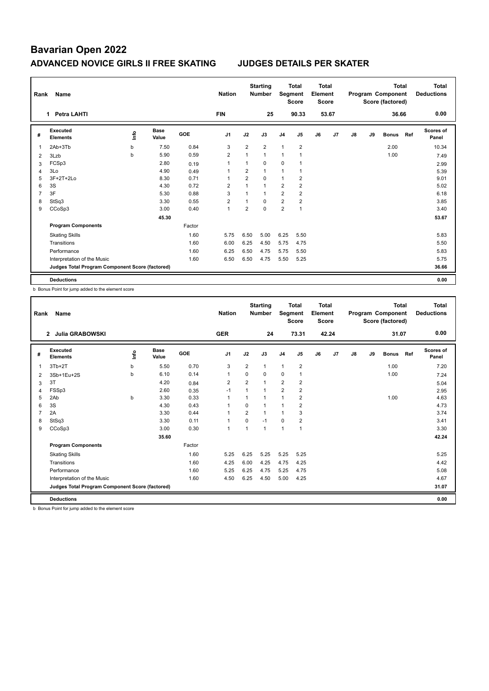| Rank           | Name                                            |    |                      |        | <b>Nation</b>  |                | <b>Starting</b><br><b>Number</b> | Segment        | <b>Total</b><br><b>Score</b> | Total<br>Element<br><b>Score</b> |       |    |    | <b>Total</b><br>Program Component<br>Score (factored) |     | Total<br><b>Deductions</b> |
|----------------|-------------------------------------------------|----|----------------------|--------|----------------|----------------|----------------------------------|----------------|------------------------------|----------------------------------|-------|----|----|-------------------------------------------------------|-----|----------------------------|
|                | <b>Petra LAHTI</b><br>1                         |    |                      |        | <b>FIN</b>     |                | 25                               |                | 90.33                        |                                  | 53.67 |    |    | 36.66                                                 |     | 0.00                       |
| #              | <b>Executed</b><br><b>Elements</b>              | ۴ů | <b>Base</b><br>Value | GOE    | J <sub>1</sub> | J2             | J3                               | J <sub>4</sub> | J5                           | J6                               | J7    | J8 | J9 | <b>Bonus</b>                                          | Ref | <b>Scores of</b><br>Panel  |
| 1              | 2Ab+3Tb                                         | b  | 7.50                 | 0.84   | 3              | $\overline{2}$ | $\overline{2}$                   | $\mathbf{1}$   | $\overline{2}$               |                                  |       |    |    | 2.00                                                  |     | 10.34                      |
| 2              | 3Lzb                                            | b  | 5.90                 | 0.59   | $\overline{2}$ | $\mathbf{1}$   | 1                                | 1              |                              |                                  |       |    |    | 1.00                                                  |     | 7.49                       |
| 3              | FCSp3                                           |    | 2.80                 | 0.19   | $\overline{1}$ | $\mathbf{1}$   | $\Omega$                         | $\mathbf 0$    | $\overline{1}$               |                                  |       |    |    |                                                       |     | 2.99                       |
| $\overline{4}$ | 3Lo                                             |    | 4.90                 | 0.49   | $\overline{1}$ | $\overline{2}$ | $\mathbf{1}$                     | $\mathbf{1}$   | $\mathbf{1}$                 |                                  |       |    |    |                                                       |     | 5.39                       |
| 5              | $3F+2T+2Lo$                                     |    | 8.30                 | 0.71   | -1             | $\overline{2}$ | $\Omega$                         | 1              | 2                            |                                  |       |    |    |                                                       |     | 9.01                       |
| 6              | 3S                                              |    | 4.30                 | 0.72   | $\overline{2}$ | 1              | $\overline{1}$                   | 2              | $\overline{2}$               |                                  |       |    |    |                                                       |     | 5.02                       |
| 7              | 3F                                              |    | 5.30                 | 0.88   | 3              | $\overline{1}$ | $\mathbf{1}$                     | $\overline{2}$ | $\overline{2}$               |                                  |       |    |    |                                                       |     | 6.18                       |
| 8              | StSq3                                           |    | 3.30                 | 0.55   | $\overline{2}$ |                | $\Omega$                         | $\overline{2}$ | $\overline{2}$               |                                  |       |    |    |                                                       |     | 3.85                       |
| 9              | CCoSp3                                          |    | 3.00                 | 0.40   | $\overline{1}$ | $\overline{2}$ | $\mathbf 0$                      | 2              | $\mathbf{1}$                 |                                  |       |    |    |                                                       |     | 3.40                       |
|                |                                                 |    | 45.30                |        |                |                |                                  |                |                              |                                  |       |    |    |                                                       |     | 53.67                      |
|                | <b>Program Components</b>                       |    |                      | Factor |                |                |                                  |                |                              |                                  |       |    |    |                                                       |     |                            |
|                | <b>Skating Skills</b>                           |    |                      | 1.60   | 5.75           | 6.50           | 5.00                             | 6.25           | 5.50                         |                                  |       |    |    |                                                       |     | 5.83                       |
|                | Transitions                                     |    |                      | 1.60   | 6.00           | 6.25           | 4.50                             | 5.75           | 4.75                         |                                  |       |    |    |                                                       |     | 5.50                       |
|                | Performance                                     |    |                      | 1.60   | 6.25           | 6.50           | 4.75                             | 5.75           | 5.50                         |                                  |       |    |    |                                                       |     | 5.83                       |
|                | Interpretation of the Music                     |    |                      | 1.60   | 6.50           | 6.50           | 4.75                             | 5.50           | 5.25                         |                                  |       |    |    |                                                       |     | 5.75                       |
|                | Judges Total Program Component Score (factored) |    |                      |        |                |                |                                  |                |                              |                                  |       |    |    |                                                       |     | 36.66                      |
|                | <b>Deductions</b>                               |    |                      |        |                |                |                                  |                |                              |                                  |       |    |    |                                                       |     | 0.00                       |

b Bonus Point for jump added to the element score

| Rank           | <b>Name</b>                                     |      |                      |            | <b>Nation</b>            |                | <b>Starting</b><br><b>Number</b> | Segment        | Total<br><b>Score</b> | Total<br>Element<br><b>Score</b> |       |    |    | Total<br>Program Component<br>Score (factored) |     | <b>Total</b><br><b>Deductions</b> |
|----------------|-------------------------------------------------|------|----------------------|------------|--------------------------|----------------|----------------------------------|----------------|-----------------------|----------------------------------|-------|----|----|------------------------------------------------|-----|-----------------------------------|
|                | <b>Julia GRABOWSKI</b><br>$\overline{2}$        |      |                      |            | <b>GER</b>               |                | 24                               |                | 73.31                 |                                  | 42.24 |    |    | 31.07                                          |     | 0.00                              |
| #              | Executed<br><b>Elements</b>                     | lnfo | <b>Base</b><br>Value | <b>GOE</b> | J1                       | J2             | J3                               | J <sub>4</sub> | J5                    | J6                               | J7    | J8 | J9 | <b>Bonus</b>                                   | Ref | <b>Scores of</b><br>Panel         |
| $\overline{1}$ | $3Tb+2T$                                        | b    | 5.50                 | 0.70       | 3                        | $\overline{2}$ | $\mathbf{1}$                     | $\overline{1}$ | $\overline{2}$        |                                  |       |    |    | 1.00                                           |     | 7.20                              |
| 2              | 3Sb+1Eu+2S                                      | b    | 6.10                 | 0.14       | $\overline{1}$           | $\Omega$       | $\Omega$                         | $\mathbf 0$    | $\mathbf{1}$          |                                  |       |    |    | 1.00                                           |     | 7.24                              |
| 3              | 3T                                              |      | 4.20                 | 0.84       | $\overline{2}$           | $\overline{2}$ | $\overline{1}$                   | $\overline{2}$ | $\overline{2}$        |                                  |       |    |    |                                                |     | 5.04                              |
| 4              | FSSp3                                           |      | 2.60                 | 0.35       | $-1$                     | 1              | 1                                | $\overline{2}$ | $\overline{2}$        |                                  |       |    |    |                                                |     | 2.95                              |
| 5              | 2Ab                                             | b    | 3.30                 | 0.33       | $\overline{1}$           | 1              |                                  | $\overline{1}$ | $\overline{2}$        |                                  |       |    |    | 1.00                                           |     | 4.63                              |
| 6              | 3S                                              |      | 4.30                 | 0.43       | $\overline{\phantom{a}}$ | $\Omega$       | 1                                | $\overline{1}$ | 2                     |                                  |       |    |    |                                                |     | 4.73                              |
| 7              | 2A                                              |      | 3.30                 | 0.44       |                          | $\overline{2}$ | 1                                | $\overline{1}$ | 3                     |                                  |       |    |    |                                                |     | 3.74                              |
| 8              | StSq3                                           |      | 3.30                 | 0.11       | $\overline{1}$           | 0              | $-1$                             | 0              | $\overline{2}$        |                                  |       |    |    |                                                |     | 3.41                              |
| 9              | CCoSp3                                          |      | 3.00                 | 0.30       | $\overline{1}$           | $\mathbf{1}$   | 1                                | $\overline{1}$ | $\mathbf{1}$          |                                  |       |    |    |                                                |     | 3.30                              |
|                |                                                 |      | 35.60                |            |                          |                |                                  |                |                       |                                  |       |    |    |                                                |     | 42.24                             |
|                | <b>Program Components</b>                       |      |                      | Factor     |                          |                |                                  |                |                       |                                  |       |    |    |                                                |     |                                   |
|                | <b>Skating Skills</b>                           |      |                      | 1.60       | 5.25                     | 6.25           | 5.25                             | 5.25           | 5.25                  |                                  |       |    |    |                                                |     | 5.25                              |
|                | Transitions                                     |      |                      | 1.60       | 4.25                     | 6.00           | 4.25                             | 4.75           | 4.25                  |                                  |       |    |    |                                                |     | 4.42                              |
|                | Performance                                     |      |                      | 1.60       | 5.25                     | 6.25           | 4.75                             | 5.25           | 4.75                  |                                  |       |    |    |                                                |     | 5.08                              |
|                | Interpretation of the Music                     |      |                      | 1.60       | 4.50                     | 6.25           | 4.50                             | 5.00           | 4.25                  |                                  |       |    |    |                                                |     | 4.67                              |
|                | Judges Total Program Component Score (factored) |      |                      |            |                          |                |                                  |                |                       |                                  |       |    |    |                                                |     | 31.07                             |
|                | <b>Deductions</b>                               |      |                      |            |                          |                |                                  |                |                       |                                  |       |    |    |                                                |     | 0.00                              |

b Bonus Point for jump added to the element score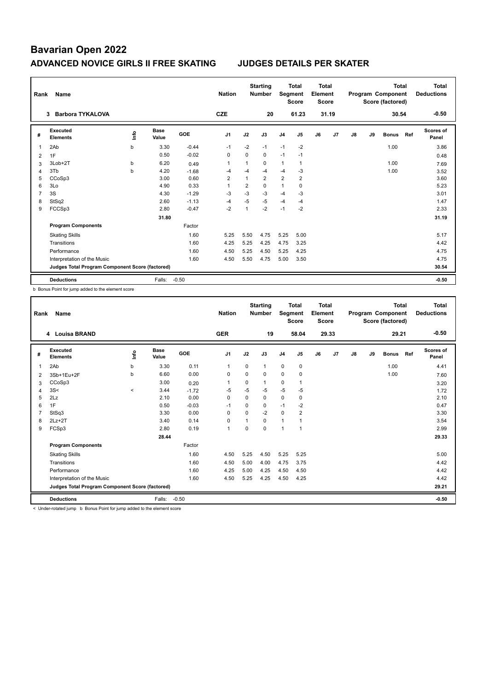| Rank | Name                                            |    |                      |            | <b>Nation</b>  |                | <b>Starting</b><br><b>Number</b> |                | <b>Total</b><br>Segment<br><b>Score</b> | Total<br>Element<br><b>Score</b> |       |    |    | <b>Total</b><br>Program Component<br>Score (factored) |     | <b>Total</b><br><b>Deductions</b> |
|------|-------------------------------------------------|----|----------------------|------------|----------------|----------------|----------------------------------|----------------|-----------------------------------------|----------------------------------|-------|----|----|-------------------------------------------------------|-----|-----------------------------------|
|      | <b>Barbora TYKALOVA</b><br>3                    |    |                      |            | <b>CZE</b>     |                | 20                               |                | 61.23                                   |                                  | 31.19 |    |    | 30.54                                                 |     | $-0.50$                           |
| #    | <b>Executed</b><br><b>Elements</b>              | ۴ů | <b>Base</b><br>Value | <b>GOE</b> | J <sub>1</sub> | J2             | J3                               | J <sub>4</sub> | J <sub>5</sub>                          | J6                               | J7    | J8 | J9 | <b>Bonus</b>                                          | Ref | Scores of<br>Panel                |
| 1    | 2Ab                                             | b  | 3.30                 | $-0.44$    | $-1$           | $-2$           | $-1$                             | $-1$           | $-2$                                    |                                  |       |    |    | 1.00                                                  |     | 3.86                              |
| 2    | 1F                                              |    | 0.50                 | $-0.02$    | $\mathbf 0$    | $\Omega$       | $\mathbf 0$                      | $-1$           | $-1$                                    |                                  |       |    |    |                                                       |     | 0.48                              |
| 3    | 3Lob+2T                                         | b  | 6.20                 | 0.49       | $\overline{1}$ | $\mathbf{1}$   | $\Omega$                         | $\mathbf{1}$   | $\mathbf{1}$                            |                                  |       |    |    | 1.00                                                  |     | 7.69                              |
| 4    | 3Tb                                             | b  | 4.20                 | $-1.68$    | $-4$           | $-4$           | -4                               | $-4$           | $-3$                                    |                                  |       |    |    | 1.00                                                  |     | 3.52                              |
| 5    | CCoSp3                                          |    | 3.00                 | 0.60       | $\overline{2}$ | $\mathbf{1}$   | $\overline{2}$                   | $\overline{2}$ | $\overline{2}$                          |                                  |       |    |    |                                                       |     | 3.60                              |
| 6    | 3Lo                                             |    | 4.90                 | 0.33       | 1              | $\overline{2}$ | $\Omega$                         | 1              | $\mathbf 0$                             |                                  |       |    |    |                                                       |     | 5.23                              |
| 7    | 3S                                              |    | 4.30                 | $-1.29$    | $-3$           | $-3$           | $-3$                             | $-4$           | $-3$                                    |                                  |       |    |    |                                                       |     | 3.01                              |
| 8    | StSq2                                           |    | 2.60                 | $-1.13$    | $-4$           | $-5$           | $-5$                             | $-4$           | $-4$                                    |                                  |       |    |    |                                                       |     | 1.47                              |
| 9    | FCCSp3                                          |    | 2.80                 | $-0.47$    | $-2$           | $\mathbf{1}$   | $-2$                             | $-1$           | $-2$                                    |                                  |       |    |    |                                                       |     | 2.33                              |
|      |                                                 |    | 31.80                |            |                |                |                                  |                |                                         |                                  |       |    |    |                                                       |     | 31.19                             |
|      | <b>Program Components</b>                       |    |                      | Factor     |                |                |                                  |                |                                         |                                  |       |    |    |                                                       |     |                                   |
|      | <b>Skating Skills</b>                           |    |                      | 1.60       | 5.25           | 5.50           | 4.75                             | 5.25           | 5.00                                    |                                  |       |    |    |                                                       |     | 5.17                              |
|      | Transitions                                     |    |                      | 1.60       | 4.25           | 5.25           | 4.25                             | 4.75           | 3.25                                    |                                  |       |    |    |                                                       |     | 4.42                              |
|      | Performance                                     |    |                      | 1.60       | 4.50           | 5.25           | 4.50                             | 5.25           | 4.25                                    |                                  |       |    |    |                                                       |     | 4.75                              |
|      | Interpretation of the Music                     |    |                      | 1.60       | 4.50           | 5.50           | 4.75                             | 5.00           | 3.50                                    |                                  |       |    |    |                                                       |     | 4.75                              |
|      | Judges Total Program Component Score (factored) |    |                      |            |                |                |                                  |                |                                         |                                  |       |    |    |                                                       |     | 30.54                             |
|      | <b>Deductions</b>                               |    | Falls:               | $-0.50$    |                |                |                                  |                |                                         |                                  |       |    |    |                                                       |     | $-0.50$                           |

b Bonus Point for jump added to the element score

| Rank           | <b>Name</b>                                     |         |                      |            | <b>Nation</b>  |          | <b>Starting</b><br><b>Number</b> | Segment        | <b>Total</b><br><b>Score</b> | <b>Total</b><br>Element<br><b>Score</b> |                |    |    | <b>Total</b><br>Program Component<br>Score (factored) |     | <b>Total</b><br><b>Deductions</b> |
|----------------|-------------------------------------------------|---------|----------------------|------------|----------------|----------|----------------------------------|----------------|------------------------------|-----------------------------------------|----------------|----|----|-------------------------------------------------------|-----|-----------------------------------|
|                | 4 Louisa BRAND                                  |         |                      |            | <b>GER</b>     |          | 19                               |                | 58.04                        |                                         | 29.33          |    |    | 29.21                                                 |     | $-0.50$                           |
| #              | Executed<br><b>Elements</b>                     | lnfo    | <b>Base</b><br>Value | <b>GOE</b> | J <sub>1</sub> | J2       | J3                               | J <sub>4</sub> | J5                           | J6                                      | J <sub>7</sub> | J8 | J9 | <b>Bonus</b>                                          | Ref | <b>Scores of</b><br>Panel         |
| $\overline{1}$ | 2Ab                                             | b       | 3.30                 | 0.11       | $\mathbf{1}$   | 0        | 1                                | $\mathbf 0$    | $\mathbf 0$                  |                                         |                |    |    | 1.00                                                  |     | 4.41                              |
| 2              | 3Sb+1Eu+2F                                      | b       | 6.60                 | 0.00       | 0              | 0        | 0                                | 0              | 0                            |                                         |                |    |    | 1.00                                                  |     | 7.60                              |
| 3              | CCoSp3                                          |         | 3.00                 | 0.20       |                | 0        | 1                                | 0              | $\mathbf{1}$                 |                                         |                |    |    |                                                       |     | 3.20                              |
| 4              | 3S<                                             | $\prec$ | 3.44                 | $-1.72$    | $-5$           | $-5$     | $-5$                             | $-5$           | $-5$                         |                                         |                |    |    |                                                       |     | 1.72                              |
| 5              | 2Lz                                             |         | 2.10                 | 0.00       | 0              | 0        | 0                                | $\mathbf 0$    | $\mathbf 0$                  |                                         |                |    |    |                                                       |     | 2.10                              |
| 6              | 1F                                              |         | 0.50                 | $-0.03$    | $-1$           | $\Omega$ | $\Omega$                         | $-1$           | -2                           |                                         |                |    |    |                                                       |     | 0.47                              |
| $\overline{7}$ | StSq3                                           |         | 3.30                 | 0.00       | $\Omega$       | $\Omega$ | $-2$                             | $\Omega$       | $\overline{2}$               |                                         |                |    |    |                                                       |     | 3.30                              |
| 8              | $2Lz+2T$                                        |         | 3.40                 | 0.14       | 0              | 1        | $\Omega$                         | $\overline{1}$ | 1                            |                                         |                |    |    |                                                       |     | 3.54                              |
| 9              | FCSp3                                           |         | 2.80                 | 0.19       | $\overline{1}$ | 0        | $\Omega$                         | 1              | $\mathbf{1}$                 |                                         |                |    |    |                                                       |     | 2.99                              |
|                |                                                 |         | 28.44                |            |                |          |                                  |                |                              |                                         |                |    |    |                                                       |     | 29.33                             |
|                | <b>Program Components</b>                       |         |                      | Factor     |                |          |                                  |                |                              |                                         |                |    |    |                                                       |     |                                   |
|                | <b>Skating Skills</b>                           |         |                      | 1.60       | 4.50           | 5.25     | 4.50                             | 5.25           | 5.25                         |                                         |                |    |    |                                                       |     | 5.00                              |
|                | Transitions                                     |         |                      | 1.60       | 4.50           | 5.00     | 4.00                             | 4.75           | 3.75                         |                                         |                |    |    |                                                       |     | 4.42                              |
|                | Performance                                     |         |                      | 1.60       | 4.25           | 5.00     | 4.25                             | 4.50           | 4.50                         |                                         |                |    |    |                                                       |     | 4.42                              |
|                | Interpretation of the Music                     |         |                      | 1.60       | 4.50           | 5.25     | 4.25                             | 4.50           | 4.25                         |                                         |                |    |    |                                                       |     | 4.42                              |
|                | Judges Total Program Component Score (factored) |         |                      |            |                |          |                                  |                |                              |                                         |                |    |    |                                                       |     | 29.21                             |
|                | <b>Deductions</b>                               |         | Falls:               | $-0.50$    |                |          |                                  |                |                              |                                         |                |    |    |                                                       |     | $-0.50$                           |

< Under-rotated jump b Bonus Point for jump added to the element score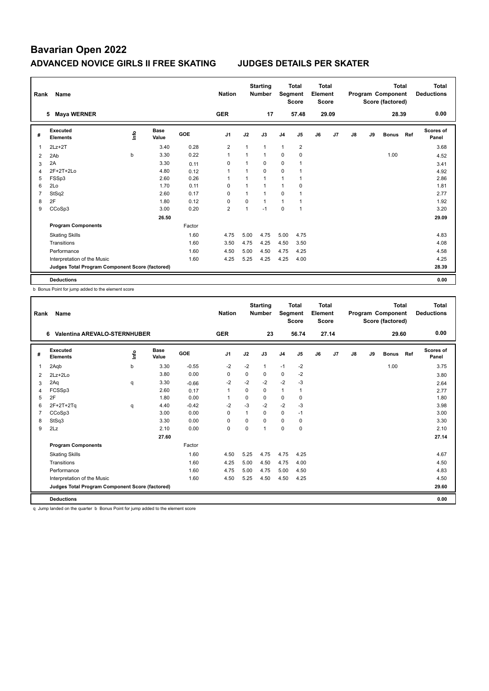| Rank | Name                                            |    |                      |            | <b>Nation</b>  |                | <b>Starting</b><br><b>Number</b> | Segment        | <b>Total</b><br><b>Score</b> | Total<br>Element<br><b>Score</b> |       |    |    | <b>Total</b><br>Program Component<br>Score (factored) |     | Total<br><b>Deductions</b> |
|------|-------------------------------------------------|----|----------------------|------------|----------------|----------------|----------------------------------|----------------|------------------------------|----------------------------------|-------|----|----|-------------------------------------------------------|-----|----------------------------|
|      | <b>Maya WERNER</b><br>5                         |    |                      |            | <b>GER</b>     |                | 17                               |                | 57.48                        |                                  | 29.09 |    |    | 28.39                                                 |     | 0.00                       |
| #    | <b>Executed</b><br><b>Elements</b>              | ۴ů | <b>Base</b><br>Value | <b>GOE</b> | J <sub>1</sub> | J2             | J3                               | J <sub>4</sub> | J5                           | J6                               | J7    | J8 | J9 | <b>Bonus</b>                                          | Ref | <b>Scores of</b><br>Panel  |
| 1    | $2Lz+2T$                                        |    | 3.40                 | 0.28       | $\overline{2}$ | $\mathbf{1}$   | $\mathbf{1}$                     | $\mathbf{1}$   | $\overline{2}$               |                                  |       |    |    |                                                       |     | 3.68                       |
| 2    | 2Ab                                             | b  | 3.30                 | 0.22       | $\overline{1}$ | $\mathbf{1}$   | $\mathbf{1}$                     | 0              | $\mathbf 0$                  |                                  |       |    |    | 1.00                                                  |     | 4.52                       |
| 3    | 2A                                              |    | 3.30                 | 0.11       | $\Omega$       | 1              | $\Omega$                         | 0              | $\overline{1}$               |                                  |       |    |    |                                                       |     | 3.41                       |
| 4    | $2F+2T+2Lo$                                     |    | 4.80                 | 0.12       | $\overline{1}$ |                | $\mathbf 0$                      | $\mathbf 0$    |                              |                                  |       |    |    |                                                       |     | 4.92                       |
| 5    | FSSp3                                           |    | 2.60                 | 0.26       | 1              |                | $\mathbf{1}$                     | 1              |                              |                                  |       |    |    |                                                       |     | 2.86                       |
| 6    | 2Lo                                             |    | 1.70                 | 0.11       | 0              |                | 1                                | 1              | 0                            |                                  |       |    |    |                                                       |     | 1.81                       |
| 7    | StSq2                                           |    | 2.60                 | 0.17       | $\Omega$       | $\mathbf{1}$   | $\overline{1}$                   | 0              |                              |                                  |       |    |    |                                                       |     | 2.77                       |
| 8    | 2F                                              |    | 1.80                 | 0.12       | 0              | $\mathbf 0$    | $\mathbf{1}$                     | $\mathbf{1}$   |                              |                                  |       |    |    |                                                       |     | 1.92                       |
| 9    | CCoSp3                                          |    | 3.00                 | 0.20       | $\overline{2}$ | $\overline{1}$ | $-1$                             | $\mathbf 0$    | $\mathbf{1}$                 |                                  |       |    |    |                                                       |     | 3.20                       |
|      |                                                 |    | 26.50                |            |                |                |                                  |                |                              |                                  |       |    |    |                                                       |     | 29.09                      |
|      | <b>Program Components</b>                       |    |                      | Factor     |                |                |                                  |                |                              |                                  |       |    |    |                                                       |     |                            |
|      | <b>Skating Skills</b>                           |    |                      | 1.60       | 4.75           | 5.00           | 4.75                             | 5.00           | 4.75                         |                                  |       |    |    |                                                       |     | 4.83                       |
|      | Transitions                                     |    |                      | 1.60       | 3.50           | 4.75           | 4.25                             | 4.50           | 3.50                         |                                  |       |    |    |                                                       |     | 4.08                       |
|      | Performance                                     |    |                      | 1.60       | 4.50           | 5.00           | 4.50                             | 4.75           | 4.25                         |                                  |       |    |    |                                                       |     | 4.58                       |
|      | Interpretation of the Music                     |    |                      | 1.60       | 4.25           | 5.25           | 4.25                             | 4.25           | 4.00                         |                                  |       |    |    |                                                       |     | 4.25                       |
|      | Judges Total Program Component Score (factored) |    |                      |            |                |                |                                  |                |                              |                                  |       |    |    |                                                       |     | 28.39                      |
|      | <b>Deductions</b>                               |    |                      |            |                |                |                                  |                |                              |                                  |       |    |    |                                                       |     | 0.00                       |

b Bonus Point for jump added to the element score

| Rank           | <b>Name</b>                                     |      |                      |            | <b>Nation</b>  |          | <b>Starting</b><br><b>Number</b> | Segment        | Total<br><b>Score</b> | Total<br>Element<br><b>Score</b> |                |               |    | <b>Total</b><br>Program Component<br>Score (factored) |     | Total<br><b>Deductions</b> |
|----------------|-------------------------------------------------|------|----------------------|------------|----------------|----------|----------------------------------|----------------|-----------------------|----------------------------------|----------------|---------------|----|-------------------------------------------------------|-----|----------------------------|
|                | <b>Valentina AREVALO-STERNHUBER</b><br>6        |      |                      |            | <b>GER</b>     |          | 23                               |                | 56.74                 |                                  | 27.14          |               |    | 29.60                                                 |     | 0.00                       |
| #              | Executed<br><b>Elements</b>                     | lnfo | <b>Base</b><br>Value | <b>GOE</b> | J <sub>1</sub> | J2       | J3                               | J <sub>4</sub> | J5                    | J6                               | J <sub>7</sub> | $\mathsf{J}8$ | J9 | <b>Bonus</b>                                          | Ref | <b>Scores of</b><br>Panel  |
| 1              | 2Aqb                                            | b    | 3.30                 | $-0.55$    | $-2$           | $-2$     | 1                                | $-1$           | $-2$                  |                                  |                |               |    | 1.00                                                  |     | 3.75                       |
| 2              | $2Lz+2Lo$                                       |      | 3.80                 | 0.00       | 0              | 0        | 0                                | $\mathbf 0$    | -2                    |                                  |                |               |    |                                                       |     | 3.80                       |
| 3              | 2Aq                                             | q    | 3.30                 | $-0.66$    | $-2$           | $-2$     | $-2$                             | $-2$           | $-3$                  |                                  |                |               |    |                                                       |     | 2.64                       |
| 4              | FCSSp3                                          |      | 2.60                 | 0.17       | $\overline{1}$ | $\Omega$ | 0                                | $\mathbf{1}$   | $\mathbf{1}$          |                                  |                |               |    |                                                       |     | 2.77                       |
| 5              | 2F                                              |      | 1.80                 | 0.00       | 1              | $\Omega$ | 0                                | $\mathbf 0$    | $\mathbf 0$           |                                  |                |               |    |                                                       |     | 1.80                       |
| 6              | $2F+2T+2Tq$                                     | q    | 4.40                 | $-0.42$    | $-2$           | $-3$     | $-2$                             | $-2$           | $-3$                  |                                  |                |               |    |                                                       |     | 3.98                       |
| $\overline{7}$ | CCoSp3                                          |      | 3.00                 | 0.00       | 0              | 1        | 0                                | $\mathbf 0$    | $-1$                  |                                  |                |               |    |                                                       |     | 3.00                       |
| 8              | StSq3                                           |      | 3.30                 | 0.00       | $\Omega$       | $\Omega$ | $\Omega$                         | $\Omega$       | 0                     |                                  |                |               |    |                                                       |     | 3.30                       |
| 9              | 2Lz                                             |      | 2.10                 | 0.00       | 0              | $\Omega$ | $\overline{1}$                   | $\Omega$       | $\Omega$              |                                  |                |               |    |                                                       |     | 2.10                       |
|                |                                                 |      | 27.60                |            |                |          |                                  |                |                       |                                  |                |               |    |                                                       |     | 27.14                      |
|                | <b>Program Components</b>                       |      |                      | Factor     |                |          |                                  |                |                       |                                  |                |               |    |                                                       |     |                            |
|                | <b>Skating Skills</b>                           |      |                      | 1.60       | 4.50           | 5.25     | 4.75                             | 4.75           | 4.25                  |                                  |                |               |    |                                                       |     | 4.67                       |
|                | Transitions                                     |      |                      | 1.60       | 4.25           | 5.00     | 4.50                             | 4.75           | 4.00                  |                                  |                |               |    |                                                       |     | 4.50                       |
|                | Performance                                     |      |                      | 1.60       | 4.75           | 5.00     | 4.75                             | 5.00           | 4.50                  |                                  |                |               |    |                                                       |     | 4.83                       |
|                | Interpretation of the Music                     |      |                      | 1.60       | 4.50           | 5.25     | 4.50                             | 4.50           | 4.25                  |                                  |                |               |    |                                                       |     | 4.50                       |
|                | Judges Total Program Component Score (factored) |      |                      |            |                |          |                                  |                |                       |                                  |                |               |    |                                                       |     | 29.60                      |
|                | <b>Deductions</b>                               |      |                      |            |                |          |                                  |                |                       |                                  |                |               |    |                                                       |     | 0.00                       |

q Jump landed on the quarter b Bonus Point for jump added to the element score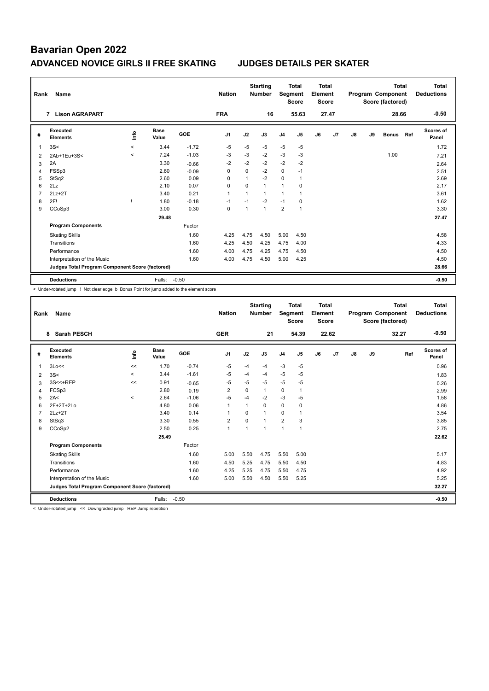| Rank           | Name                                            |                          |                      |            | <b>Nation</b>  |                | <b>Starting</b><br><b>Number</b> | Segment        | Total<br><b>Score</b> | Total<br>Element<br><b>Score</b> |       |    |    | <b>Total</b><br>Program Component<br>Score (factored) |     | <b>Total</b><br><b>Deductions</b> |
|----------------|-------------------------------------------------|--------------------------|----------------------|------------|----------------|----------------|----------------------------------|----------------|-----------------------|----------------------------------|-------|----|----|-------------------------------------------------------|-----|-----------------------------------|
|                | <b>Lison AGRAPART</b><br>$\overline{7}$         |                          |                      |            | <b>FRA</b>     |                | 16                               |                | 55.63                 |                                  | 27.47 |    |    | 28.66                                                 |     | $-0.50$                           |
| #              | Executed<br><b>Elements</b>                     | lnfo                     | <b>Base</b><br>Value | <b>GOE</b> | J <sub>1</sub> | J2             | J3                               | J <sub>4</sub> | J5                    | J6                               | J7    | J8 | J9 | <b>Bonus</b>                                          | Ref | Scores of<br>Panel                |
| 1              | 3S<                                             | $\prec$                  | 3.44                 | $-1.72$    | $-5$           | $-5$           | $-5$                             | $-5$           | $-5$                  |                                  |       |    |    |                                                       |     | 1.72                              |
| 2              | 2Ab+1Eu+3S<                                     | $\overline{\phantom{a}}$ | 7.24                 | $-1.03$    | $-3$           | $-3$           | $-2$                             | $-3$           | $-3$                  |                                  |       |    |    | 1.00                                                  |     | 7.21                              |
| 3              | 2A                                              |                          | 3.30                 | $-0.66$    | $-2$           | $-2$           | $-2$                             | $-2$           | $-2$                  |                                  |       |    |    |                                                       |     | 2.64                              |
| 4              | FSSp3                                           |                          | 2.60                 | $-0.09$    | $\Omega$       | $\Omega$       | $-2$                             | $\mathbf 0$    | $-1$                  |                                  |       |    |    |                                                       |     | 2.51                              |
| 5              | StSq2                                           |                          | 2.60                 | 0.09       | $\Omega$       | 1              | $-2$                             | $\Omega$       | -1                    |                                  |       |    |    |                                                       |     | 2.69                              |
| 6              | 2Lz                                             |                          | 2.10                 | 0.07       | 0              | $\Omega$       | 1                                | $\overline{1}$ | 0                     |                                  |       |    |    |                                                       |     | 2.17                              |
| $\overline{7}$ | $2Lz+2T$                                        |                          | 3.40                 | 0.21       | $\mathbf{1}$   | $\mathbf{1}$   | 1                                | $\mathbf{1}$   | $\overline{1}$        |                                  |       |    |    |                                                       |     | 3.61                              |
| 8              | 2F!                                             |                          | 1.80                 | $-0.18$    | $-1$           | $-1$           | $-2$                             | $-1$           | 0                     |                                  |       |    |    |                                                       |     | 1.62                              |
| 9              | CCoSp3                                          |                          | 3.00                 | 0.30       | $\Omega$       | $\overline{1}$ | 1                                | 2              | $\overline{1}$        |                                  |       |    |    |                                                       |     | 3.30                              |
|                |                                                 |                          | 29.48                |            |                |                |                                  |                |                       |                                  |       |    |    |                                                       |     | 27.47                             |
|                | <b>Program Components</b>                       |                          |                      | Factor     |                |                |                                  |                |                       |                                  |       |    |    |                                                       |     |                                   |
|                | <b>Skating Skills</b>                           |                          |                      | 1.60       | 4.25           | 4.75           | 4.50                             | 5.00           | 4.50                  |                                  |       |    |    |                                                       |     | 4.58                              |
|                | Transitions                                     |                          |                      | 1.60       | 4.25           | 4.50           | 4.25                             | 4.75           | 4.00                  |                                  |       |    |    |                                                       |     | 4.33                              |
|                | Performance                                     |                          |                      | 1.60       | 4.00           | 4.75           | 4.25                             | 4.75           | 4.50                  |                                  |       |    |    |                                                       |     | 4.50                              |
|                | Interpretation of the Music                     |                          |                      | 1.60       | 4.00           | 4.75           | 4.50                             | 5.00           | 4.25                  |                                  |       |    |    |                                                       |     | 4.50                              |
|                | Judges Total Program Component Score (factored) |                          |                      |            |                |                |                                  |                |                       |                                  |       |    |    |                                                       |     | 28.66                             |
|                | <b>Deductions</b>                               |                          | Falls:               | $-0.50$    |                |                |                                  |                |                       |                                  |       |    |    |                                                       |     | $-0.50$                           |

< Under-rotated jump ! Not clear edge b Bonus Point for jump added to the element score

| Rank | Name                                            |          |                      |         | <b>Nation</b>  |          | <b>Starting</b><br><b>Number</b> | Segment        | <b>Total</b><br><b>Score</b> | <b>Total</b><br>Element<br><b>Score</b> |       |               |    | <b>Total</b><br>Program Component<br>Score (factored) | <b>Total</b><br><b>Deductions</b> |
|------|-------------------------------------------------|----------|----------------------|---------|----------------|----------|----------------------------------|----------------|------------------------------|-----------------------------------------|-------|---------------|----|-------------------------------------------------------|-----------------------------------|
|      | <b>Sarah PESCH</b><br>8                         |          |                      |         | <b>GER</b>     |          | 21                               |                | 54.39                        |                                         | 22.62 |               |    | 32.27                                                 | $-0.50$                           |
| #    | Executed<br><b>Elements</b>                     | Info     | <b>Base</b><br>Value | GOE     | J <sub>1</sub> | J2       | J3                               | J <sub>4</sub> | J5                           | J6                                      | J7    | $\mathsf{J}8$ | J9 | Ref                                                   | Scores of<br>Panel                |
| 1    | 3Lo<<                                           | <<       | 1.70                 | $-0.74$ | -5             | $-4$     | $-4$                             | $-3$           | $-5$                         |                                         |       |               |    |                                                       | 0.96                              |
| 2    | 3S<                                             | $\prec$  | 3.44                 | $-1.61$ | -5             | $-4$     | $-4$                             | $-5$           | -5                           |                                         |       |               |    |                                                       | 1.83                              |
| 3    | 3S<<+REP                                        | <<       | 0.91                 | $-0.65$ | -5             | $-5$     | $-5$                             | $-5$           | $-5$                         |                                         |       |               |    |                                                       | 0.26                              |
| 4    | FCSp3                                           |          | 2.80                 | 0.19    | 2              | $\Omega$ | $\mathbf{1}$                     | 0              | 1                            |                                         |       |               |    |                                                       | 2.99                              |
| 5    | 2A<                                             | $\hat{}$ | 2.64                 | $-1.06$ | $-5$           | $-4$     | $-2$                             | $-3$           | $-5$                         |                                         |       |               |    |                                                       | 1.58                              |
| 6    | 2F+2T+2Lo                                       |          | 4.80                 | 0.06    | $\mathbf{1}$   | 1        | 0                                | $\mathbf 0$    | 0                            |                                         |       |               |    |                                                       | 4.86                              |
| 7    | $2Lz+2T$                                        |          | 3.40                 | 0.14    | -1             | $\Omega$ | $\overline{1}$                   | 0              | 1                            |                                         |       |               |    |                                                       | 3.54                              |
| 8    | StSq3                                           |          | 3.30                 | 0.55    | $\overline{2}$ | $\Omega$ | $\overline{1}$                   | $\overline{2}$ | 3                            |                                         |       |               |    |                                                       | 3.85                              |
| 9    | CCoSp2                                          |          | 2.50                 | 0.25    | $\mathbf{1}$   | 1        | 1                                | $\overline{1}$ | 1                            |                                         |       |               |    |                                                       | 2.75                              |
|      |                                                 |          | 25.49                |         |                |          |                                  |                |                              |                                         |       |               |    |                                                       | 22.62                             |
|      | <b>Program Components</b>                       |          |                      | Factor  |                |          |                                  |                |                              |                                         |       |               |    |                                                       |                                   |
|      | <b>Skating Skills</b>                           |          |                      | 1.60    | 5.00           | 5.50     | 4.75                             | 5.50           | 5.00                         |                                         |       |               |    |                                                       | 5.17                              |
|      | Transitions                                     |          |                      | 1.60    | 4.50           | 5.25     | 4.75                             | 5.50           | 4.50                         |                                         |       |               |    |                                                       | 4.83                              |
|      | Performance                                     |          |                      | 1.60    | 4.25           | 5.25     | 4.75                             | 5.50           | 4.75                         |                                         |       |               |    |                                                       | 4.92                              |
|      | Interpretation of the Music                     |          |                      | 1.60    | 5.00           | 5.50     | 4.50                             | 5.50           | 5.25                         |                                         |       |               |    |                                                       | 5.25                              |
|      | Judges Total Program Component Score (factored) |          |                      |         |                |          |                                  |                |                              |                                         |       |               |    |                                                       | 32.27                             |
|      | <b>Deductions</b>                               |          | Falls:               | $-0.50$ |                |          |                                  |                |                              |                                         |       |               |    |                                                       | $-0.50$                           |

< Under-rotated jump << Downgraded jump REP Jump repetition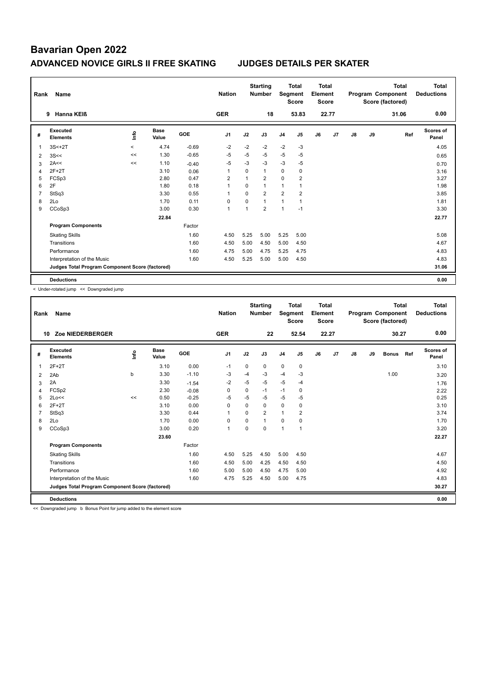| Rank           | Name                                            |         |                      |            | <b>Nation</b>  |                | <b>Starting</b><br><b>Number</b> | Segment        | <b>Total</b><br><b>Score</b> | Total<br>Element<br><b>Score</b> |       |    |    | <b>Total</b><br>Program Component<br>Score (factored) | Total<br><b>Deductions</b> |
|----------------|-------------------------------------------------|---------|----------------------|------------|----------------|----------------|----------------------------------|----------------|------------------------------|----------------------------------|-------|----|----|-------------------------------------------------------|----------------------------|
|                | Hanna KEIß<br>9                                 |         |                      |            | <b>GER</b>     |                | 18                               |                | 53.83                        |                                  | 22.77 |    |    | 31.06                                                 | 0.00                       |
| #              | Executed<br><b>Elements</b>                     | ۴ů      | <b>Base</b><br>Value | <b>GOE</b> | J <sub>1</sub> | J2             | J3                               | J <sub>4</sub> | J <sub>5</sub>               | J6                               | J7    | J8 | J9 | Ref                                                   | Scores of<br>Panel         |
| 1              | $3S<+2T$                                        | $\prec$ | 4.74                 | $-0.69$    | $-2$           | $-2$           | $-2$                             | $-2$           | $-3$                         |                                  |       |    |    |                                                       | 4.05                       |
| $\overline{2}$ | 3S<<                                            | <<      | 1.30                 | $-0.65$    | $-5$           | $-5$           | $-5$                             | $-5$           | $-5$                         |                                  |       |    |    |                                                       | 0.65                       |
| 3              | 2A<<                                            | <<      | 1.10                 | $-0.40$    | $-5$           | $-3$           | $-3$                             | $-3$           | $-5$                         |                                  |       |    |    |                                                       | 0.70                       |
| $\overline{4}$ | $2F+2T$                                         |         | 3.10                 | 0.06       | $\overline{1}$ | $\mathbf 0$    | $\mathbf{1}$                     | 0              | $\mathbf 0$                  |                                  |       |    |    |                                                       | 3.16                       |
| 5              | FCSp3                                           |         | 2.80                 | 0.47       | $\overline{2}$ | $\mathbf{1}$   | $\overline{2}$                   | $\Omega$       | $\overline{2}$               |                                  |       |    |    |                                                       | 3.27                       |
| 6              | 2F                                              |         | 1.80                 | 0.18       | 1              | $\Omega$       | $\mathbf{1}$                     | 1              |                              |                                  |       |    |    |                                                       | 1.98                       |
| $\overline{7}$ | StSq3                                           |         | 3.30                 | 0.55       | $\overline{1}$ | $\Omega$       | $\overline{2}$                   | $\overline{2}$ | $\overline{2}$               |                                  |       |    |    |                                                       | 3.85                       |
| 8              | 2Lo                                             |         | 1.70                 | 0.11       | $\mathbf 0$    | $\mathbf 0$    | $\mathbf{1}$                     | $\mathbf{1}$   | $\overline{1}$               |                                  |       |    |    |                                                       | 1.81                       |
| 9              | CCoSp3                                          |         | 3.00                 | 0.30       | $\mathbf{1}$   | $\overline{1}$ | $\overline{2}$                   | 1              | $-1$                         |                                  |       |    |    |                                                       | 3.30                       |
|                |                                                 |         | 22.84                |            |                |                |                                  |                |                              |                                  |       |    |    |                                                       | 22.77                      |
|                | <b>Program Components</b>                       |         |                      | Factor     |                |                |                                  |                |                              |                                  |       |    |    |                                                       |                            |
|                | <b>Skating Skills</b>                           |         |                      | 1.60       | 4.50           | 5.25           | 5.00                             | 5.25           | 5.00                         |                                  |       |    |    |                                                       | 5.08                       |
|                | Transitions                                     |         |                      | 1.60       | 4.50           | 5.00           | 4.50                             | 5.00           | 4.50                         |                                  |       |    |    |                                                       | 4.67                       |
|                | Performance                                     |         |                      | 1.60       | 4.75           | 5.00           | 4.75                             | 5.25           | 4.75                         |                                  |       |    |    |                                                       | 4.83                       |
|                | Interpretation of the Music                     |         |                      | 1.60       | 4.50           | 5.25           | 5.00                             | 5.00           | 4.50                         |                                  |       |    |    |                                                       | 4.83                       |
|                | Judges Total Program Component Score (factored) |         |                      |            |                |                |                                  |                |                              |                                  |       |    |    |                                                       | 31.06                      |
|                | <b>Deductions</b>                               |         |                      |            |                |                |                                  |                |                              |                                  |       |    |    |                                                       | 0.00                       |

< Under-rotated jump << Downgraded jump

| Rank | <b>Name</b>                                     |      |                      |         | <b>Nation</b>  |          | <b>Starting</b><br><b>Number</b> | Segment        | <b>Total</b><br><b>Score</b> | Total<br>Element<br><b>Score</b> |       |    |    | <b>Total</b><br>Program Component<br>Score (factored) |     | <b>Total</b><br><b>Deductions</b> |
|------|-------------------------------------------------|------|----------------------|---------|----------------|----------|----------------------------------|----------------|------------------------------|----------------------------------|-------|----|----|-------------------------------------------------------|-----|-----------------------------------|
| 10   | Zoe NIEDERBERGER                                |      |                      |         | <b>GER</b>     |          | 22                               |                | 52.54                        |                                  | 22.27 |    |    | 30.27                                                 |     | 0.00                              |
| #    | Executed<br><b>Elements</b>                     | ١nf٥ | <b>Base</b><br>Value | GOE     | J <sub>1</sub> | J2       | J3                               | J <sub>4</sub> | J5                           | J6                               | J7    | J8 | J9 | <b>Bonus</b>                                          | Ref | <b>Scores of</b><br>Panel         |
| 1    | $2F+2T$                                         |      | 3.10                 | 0.00    | $-1$           | 0        | 0                                | $\mathbf 0$    | 0                            |                                  |       |    |    |                                                       |     | 3.10                              |
| 2    | 2Ab                                             | b    | 3.30                 | $-1.10$ | $-3$           | $-4$     | $-3$                             | $-4$           | $-3$                         |                                  |       |    |    | 1.00                                                  |     | 3.20                              |
| 3    | 2A                                              |      | 3.30                 | $-1.54$ | $-2$           | $-5$     | $-5$                             | $-5$           | $-4$                         |                                  |       |    |    |                                                       |     | 1.76                              |
| 4    | FCSp2                                           |      | 2.30                 | $-0.08$ | 0              | 0        | $-1$                             | $-1$           | 0                            |                                  |       |    |    |                                                       |     | 2.22                              |
| 5    | 2Lo<<                                           | <<   | 0.50                 | $-0.25$ | $-5$           | $-5$     | $-5$                             | $-5$           | $-5$                         |                                  |       |    |    |                                                       |     | 0.25                              |
| 6    | $2F+2T$                                         |      | 3.10                 | 0.00    | $\Omega$       | $\Omega$ | $\Omega$                         | $\mathbf 0$    | 0                            |                                  |       |    |    |                                                       |     | 3.10                              |
|      | StSq3                                           |      | 3.30                 | 0.44    | $\mathbf{1}$   | $\Omega$ | $\overline{2}$                   | $\mathbf{1}$   | 2                            |                                  |       |    |    |                                                       |     | 3.74                              |
| 8    | 2Lo                                             |      | 1.70                 | 0.00    | 0              | $\Omega$ | 1                                | $\Omega$       | $\Omega$                     |                                  |       |    |    |                                                       |     | 1.70                              |
| 9    | CCoSp3                                          |      | 3.00                 | 0.20    | $\mathbf{1}$   | $\Omega$ | 0                                | $\mathbf{1}$   | 1                            |                                  |       |    |    |                                                       |     | 3.20                              |
|      |                                                 |      | 23.60                |         |                |          |                                  |                |                              |                                  |       |    |    |                                                       |     | 22.27                             |
|      | <b>Program Components</b>                       |      |                      | Factor  |                |          |                                  |                |                              |                                  |       |    |    |                                                       |     |                                   |
|      | <b>Skating Skills</b>                           |      |                      | 1.60    | 4.50           | 5.25     | 4.50                             | 5.00           | 4.50                         |                                  |       |    |    |                                                       |     | 4.67                              |
|      | Transitions                                     |      |                      | 1.60    | 4.50           | 5.00     | 4.25                             | 4.50           | 4.50                         |                                  |       |    |    |                                                       |     | 4.50                              |
|      | Performance                                     |      |                      | 1.60    | 5.00           | 5.00     | 4.50                             | 4.75           | 5.00                         |                                  |       |    |    |                                                       |     | 4.92                              |
|      | Interpretation of the Music                     |      |                      | 1.60    | 4.75           | 5.25     | 4.50                             | 5.00           | 4.75                         |                                  |       |    |    |                                                       |     | 4.83                              |
|      | Judges Total Program Component Score (factored) |      |                      |         |                |          |                                  |                |                              |                                  |       |    |    |                                                       |     | 30.27                             |
|      | <b>Deductions</b>                               |      |                      |         |                |          |                                  |                |                              |                                  |       |    |    |                                                       |     | 0.00                              |

<< Downgraded jump b Bonus Point for jump added to the element score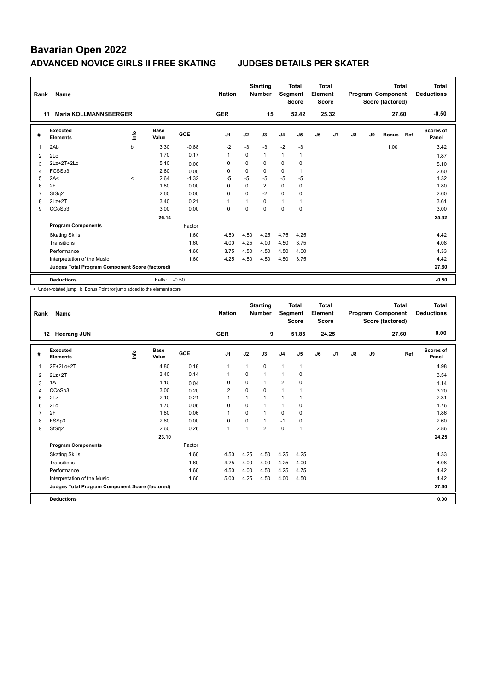| Rank | Name                                            |         |                      |            | <b>Nation</b>  |          | <b>Starting</b><br><b>Number</b> | Segment        | <b>Total</b><br><b>Score</b> | Total<br>Element<br><b>Score</b> |       |    |    | <b>Total</b><br>Program Component<br>Score (factored) |     | <b>Total</b><br><b>Deductions</b> |
|------|-------------------------------------------------|---------|----------------------|------------|----------------|----------|----------------------------------|----------------|------------------------------|----------------------------------|-------|----|----|-------------------------------------------------------|-----|-----------------------------------|
| 11   | <b>Maria KOLLMANNSBERGER</b>                    |         |                      |            | <b>GER</b>     |          | 15                               |                | 52.42                        |                                  | 25.32 |    |    | 27.60                                                 |     | $-0.50$                           |
| #    | <b>Executed</b><br><b>Elements</b>              | ۴ů      | <b>Base</b><br>Value | <b>GOE</b> | J <sub>1</sub> | J2       | J3                               | J <sub>4</sub> | J5                           | J6                               | J7    | J8 | J9 | <b>Bonus</b>                                          | Ref | Scores of<br>Panel                |
| 1    | 2Ab                                             | b       | 3.30                 | $-0.88$    | $-2$           | $-3$     | $-3$                             | $-2$           | $-3$                         |                                  |       |    |    | 1.00                                                  |     | 3.42                              |
| 2    | 2Lo                                             |         | 1.70                 | 0.17       | $\mathbf{1}$   | 0        | $\mathbf{1}$                     | $\mathbf{1}$   | $\mathbf{1}$                 |                                  |       |    |    |                                                       |     | 1.87                              |
| 3    | 2Lz+2T+2Lo                                      |         | 5.10                 | 0.00       | 0              | 0        | 0                                | 0              | 0                            |                                  |       |    |    |                                                       |     | 5.10                              |
| 4    | FCSSp3                                          |         | 2.60                 | 0.00       | $\Omega$       | $\Omega$ | $\Omega$                         | $\mathbf 0$    |                              |                                  |       |    |    |                                                       |     | 2.60                              |
| 5    | 2A<                                             | $\prec$ | 2.64                 | $-1.32$    | $-5$           | $-5$     | $-5$                             | $-5$           | $-5$                         |                                  |       |    |    |                                                       |     | 1.32                              |
| 6    | 2F                                              |         | 1.80                 | 0.00       | $\Omega$       | $\Omega$ | $\overline{2}$                   | 0              | $\mathbf 0$                  |                                  |       |    |    |                                                       |     | 1.80                              |
| 7    | StSq2                                           |         | 2.60                 | 0.00       | 0              | $\Omega$ | $-2$                             | 0              | 0                            |                                  |       |    |    |                                                       |     | 2.60                              |
| 8    | $2Lz+2T$                                        |         | 3.40                 | 0.21       | 1              |          | $\Omega$                         | 1              |                              |                                  |       |    |    |                                                       |     | 3.61                              |
| 9    | CCoSp3                                          |         | 3.00                 | 0.00       | 0              | $\Omega$ | $\Omega$                         | 0              | 0                            |                                  |       |    |    |                                                       |     | 3.00                              |
|      |                                                 |         | 26.14                |            |                |          |                                  |                |                              |                                  |       |    |    |                                                       |     | 25.32                             |
|      | <b>Program Components</b>                       |         |                      | Factor     |                |          |                                  |                |                              |                                  |       |    |    |                                                       |     |                                   |
|      | <b>Skating Skills</b>                           |         |                      | 1.60       | 4.50           | 4.50     | 4.25                             | 4.75           | 4.25                         |                                  |       |    |    |                                                       |     | 4.42                              |
|      | Transitions                                     |         |                      | 1.60       | 4.00           | 4.25     | 4.00                             | 4.50           | 3.75                         |                                  |       |    |    |                                                       |     | 4.08                              |
|      | Performance                                     |         |                      | 1.60       | 3.75           | 4.50     | 4.50                             | 4.50           | 4.00                         |                                  |       |    |    |                                                       |     | 4.33                              |
|      | Interpretation of the Music                     |         |                      | 1.60       | 4.25           | 4.50     | 4.50                             | 4.50           | 3.75                         |                                  |       |    |    |                                                       |     | 4.42                              |
|      | Judges Total Program Component Score (factored) |         |                      |            |                |          |                                  |                |                              |                                  |       |    |    |                                                       |     | 27.60                             |
|      | <b>Deductions</b>                               |         | Falls:               | $-0.50$    |                |          |                                  |                |                              |                                  |       |    |    |                                                       |     | $-0.50$                           |

< Under-rotated jump b Bonus Point for jump added to the element score

| Rank           | Name                                            |      |                      |        | <b>Nation</b>  |                | <b>Starting</b><br><b>Number</b> | Segment        | <b>Total</b><br><b>Score</b> | Total<br>Element<br><b>Score</b> |       |               |    | Total<br>Program Component<br>Score (factored) | <b>Total</b><br><b>Deductions</b> |
|----------------|-------------------------------------------------|------|----------------------|--------|----------------|----------------|----------------------------------|----------------|------------------------------|----------------------------------|-------|---------------|----|------------------------------------------------|-----------------------------------|
|                | <b>Heerang JUN</b><br>12                        |      |                      |        | <b>GER</b>     |                | 9                                |                | 51.85                        |                                  | 24.25 |               |    | 27.60                                          | 0.00                              |
| #              | Executed<br><b>Elements</b>                     | lnfo | <b>Base</b><br>Value | GOE    | J <sub>1</sub> | J2             | J3                               | J <sub>4</sub> | J5                           | J6                               | J7    | $\mathsf{J}8$ | J9 | Ref                                            | <b>Scores of</b><br>Panel         |
| $\mathbf{1}$   | 2F+2Lo+2T                                       |      | 4.80                 | 0.18   | 1              | 1              | 0                                | $\mathbf{1}$   | $\mathbf{1}$                 |                                  |       |               |    |                                                | 4.98                              |
| 2              | $2Lz+2T$                                        |      | 3.40                 | 0.14   | $\mathbf{1}$   | $\Omega$       | $\mathbf{1}$                     | $\overline{1}$ | 0                            |                                  |       |               |    |                                                | 3.54                              |
| 3              | 1A                                              |      | 1.10                 | 0.04   | 0              | 0              | 1                                | $\overline{2}$ | $\mathbf 0$                  |                                  |       |               |    |                                                | 1.14                              |
| $\overline{4}$ | CCoSp3                                          |      | 3.00                 | 0.20   | 2              | $\Omega$       | 0                                | $\overline{1}$ |                              |                                  |       |               |    |                                                | 3.20                              |
| 5              | 2Lz                                             |      | 2.10                 | 0.21   | 1              |                | 1                                | $\overline{1}$ |                              |                                  |       |               |    |                                                | 2.31                              |
| 6              | 2Lo                                             |      | 1.70                 | 0.06   | $\Omega$       | $\Omega$       | 1                                | $\mathbf{1}$   | $\Omega$                     |                                  |       |               |    |                                                | 1.76                              |
| 7              | 2F                                              |      | 1.80                 | 0.06   | 1              | 0              | 1                                | 0              | 0                            |                                  |       |               |    |                                                | 1.86                              |
| 8              | FSSp3                                           |      | 2.60                 | 0.00   | 0              | $\Omega$       | 1                                | $-1$           | 0                            |                                  |       |               |    |                                                | 2.60                              |
| 9              | StSq2                                           |      | 2.60                 | 0.26   | $\mathbf{1}$   | $\overline{ }$ | $\overline{2}$                   | $\mathbf 0$    | $\overline{1}$               |                                  |       |               |    |                                                | 2.86                              |
|                |                                                 |      | 23.10                |        |                |                |                                  |                |                              |                                  |       |               |    |                                                | 24.25                             |
|                | <b>Program Components</b>                       |      |                      | Factor |                |                |                                  |                |                              |                                  |       |               |    |                                                |                                   |
|                | <b>Skating Skills</b>                           |      |                      | 1.60   | 4.50           | 4.25           | 4.50                             | 4.25           | 4.25                         |                                  |       |               |    |                                                | 4.33                              |
|                | Transitions                                     |      |                      | 1.60   | 4.25           | 4.00           | 4.00                             | 4.25           | 4.00                         |                                  |       |               |    |                                                | 4.08                              |
|                | Performance                                     |      |                      | 1.60   | 4.50           | 4.00           | 4.50                             | 4.25           | 4.75                         |                                  |       |               |    |                                                | 4.42                              |
|                | Interpretation of the Music                     |      |                      | 1.60   | 5.00           | 4.25           | 4.50                             | 4.00           | 4.50                         |                                  |       |               |    |                                                | 4.42                              |
|                | Judges Total Program Component Score (factored) |      |                      |        |                |                |                                  |                |                              |                                  |       |               |    |                                                | 27.60                             |
|                | <b>Deductions</b>                               |      |                      |        |                |                |                                  |                |                              |                                  |       |               |    |                                                | 0.00                              |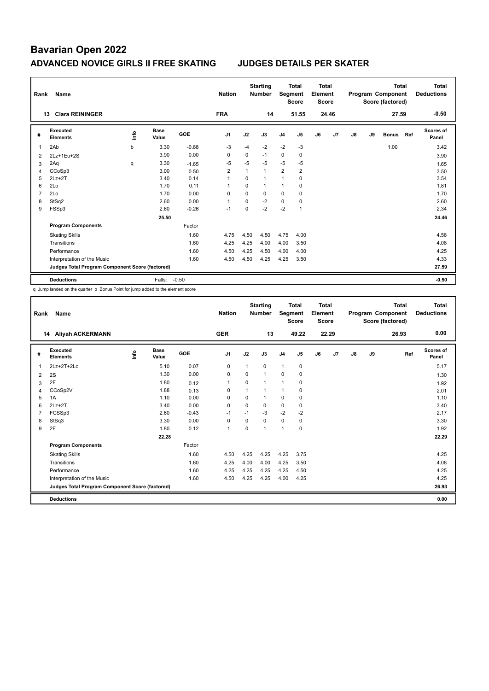| Rank | Name                                            |   |                      |            | <b>Nation</b>  |          | <b>Starting</b><br><b>Number</b> | Segment        | <b>Total</b><br><b>Score</b> | Total<br>Element<br><b>Score</b> |       |    |    | <b>Total</b><br>Program Component<br>Score (factored) |     | <b>Total</b><br><b>Deductions</b> |
|------|-------------------------------------------------|---|----------------------|------------|----------------|----------|----------------------------------|----------------|------------------------------|----------------------------------|-------|----|----|-------------------------------------------------------|-----|-----------------------------------|
|      | <b>Clara REININGER</b><br>13                    |   |                      |            | <b>FRA</b>     |          | 14                               |                | 51.55                        |                                  | 24.46 |    |    | 27.59                                                 |     | $-0.50$                           |
| #    | Executed<br><b>Elements</b>                     | ۴ | <b>Base</b><br>Value | <b>GOE</b> | J <sub>1</sub> | J2       | J3                               | J <sub>4</sub> | J5                           | J6                               | J7    | J8 | J9 | <b>Bonus</b>                                          | Ref | <b>Scores of</b><br>Panel         |
| 1    | 2Ab                                             | b | 3.30                 | $-0.88$    | $-3$           | $-4$     | $-2$                             | $-2$           | $-3$                         |                                  |       |    |    | 1.00                                                  |     | 3.42                              |
| 2    | 2Lz+1Eu+2S                                      |   | 3.90                 | 0.00       | 0              | 0        | $-1$                             | 0              | 0                            |                                  |       |    |    |                                                       |     | 3.90                              |
| 3    | 2Aq                                             | q | 3.30                 | $-1.65$    | $-5$           | $-5$     | $-5$                             | $-5$           | $-5$                         |                                  |       |    |    |                                                       |     | 1.65                              |
| 4    | CCoSp3                                          |   | 3.00                 | 0.50       | $\overline{2}$ | 1        | $\mathbf{1}$                     | $\overline{2}$ | $\overline{2}$               |                                  |       |    |    |                                                       |     | 3.50                              |
| 5    | $2Lz + 2T$                                      |   | 3.40                 | 0.14       | $\overline{1}$ | $\Omega$ | 1                                | $\mathbf{1}$   | $\mathbf 0$                  |                                  |       |    |    |                                                       |     | 3.54                              |
| 6    | 2Lo                                             |   | 1.70                 | 0.11       | $\overline{1}$ | 0        | $\mathbf{1}$                     | 1              | 0                            |                                  |       |    |    |                                                       |     | 1.81                              |
| 7    | 2Lo                                             |   | 1.70                 | 0.00       | 0              | $\Omega$ | 0                                | 0              | 0                            |                                  |       |    |    |                                                       |     | 1.70                              |
| 8    | StSq2                                           |   | 2.60                 | 0.00       | $\overline{1}$ | $\Omega$ | $-2$                             | 0              | 0                            |                                  |       |    |    |                                                       |     | 2.60                              |
| 9    | FSSp3                                           |   | 2.60                 | $-0.26$    | $-1$           | 0        | $-2$                             | $-2$           |                              |                                  |       |    |    |                                                       |     | 2.34                              |
|      |                                                 |   | 25.50                |            |                |          |                                  |                |                              |                                  |       |    |    |                                                       |     | 24.46                             |
|      | <b>Program Components</b>                       |   |                      | Factor     |                |          |                                  |                |                              |                                  |       |    |    |                                                       |     |                                   |
|      | <b>Skating Skills</b>                           |   |                      | 1.60       | 4.75           | 4.50     | 4.50                             | 4.75           | 4.00                         |                                  |       |    |    |                                                       |     | 4.58                              |
|      | Transitions                                     |   |                      | 1.60       | 4.25           | 4.25     | 4.00                             | 4.00           | 3.50                         |                                  |       |    |    |                                                       |     | 4.08                              |
|      | Performance                                     |   |                      | 1.60       | 4.50           | 4.25     | 4.50                             | 4.00           | 4.00                         |                                  |       |    |    |                                                       |     | 4.25                              |
|      | Interpretation of the Music                     |   |                      | 1.60       | 4.50           | 4.50     | 4.25                             | 4.25           | 3.50                         |                                  |       |    |    |                                                       |     | 4.33                              |
|      | Judges Total Program Component Score (factored) |   |                      |            |                |          |                                  |                |                              |                                  |       |    |    |                                                       |     | 27.59                             |
|      | <b>Deductions</b>                               |   | Falls:               | $-0.50$    |                |          |                                  |                |                              |                                  |       |    |    |                                                       |     | $-0.50$                           |

q Jump landed on the quarter b Bonus Point for jump added to the element score

| Rank | <b>Name</b>                                     |       |                      |         | <b>Nation</b> |          | <b>Starting</b><br><b>Number</b> | Segment        | <b>Total</b><br><b>Score</b> | Total<br>Element<br><b>Score</b> |       |               |    | <b>Total</b><br>Program Component<br>Score (factored) | <b>Total</b><br><b>Deductions</b> |
|------|-------------------------------------------------|-------|----------------------|---------|---------------|----------|----------------------------------|----------------|------------------------------|----------------------------------|-------|---------------|----|-------------------------------------------------------|-----------------------------------|
|      | Aliyah ACKERMANN<br>14                          |       |                      |         | <b>GER</b>    |          | 13                               |                | 49.22                        |                                  | 22.29 |               |    | 26.93                                                 | 0.00                              |
| #    | Executed<br><b>Elements</b>                     | Linfo | <b>Base</b><br>Value | GOE     | J1            | J2       | J3                               | J <sub>4</sub> | J5                           | J6                               | J7    | $\mathsf{J}8$ | J9 | Ref                                                   | <b>Scores of</b><br>Panel         |
| 1    | 2Lz+2T+2Lo                                      |       | 5.10                 | 0.07    | 0             | 1        | 0                                | $\mathbf{1}$   | 0                            |                                  |       |               |    |                                                       | 5.17                              |
| 2    | 2S                                              |       | 1.30                 | 0.00    | 0             | $\Omega$ | 1                                | $\mathbf 0$    | 0                            |                                  |       |               |    |                                                       | 1.30                              |
| 3    | 2F                                              |       | 1.80                 | 0.12    | 1             | 0        | 1                                | $\overline{1}$ | 0                            |                                  |       |               |    |                                                       | 1.92                              |
| 4    | CCoSp2V                                         |       | 1.88                 | 0.13    | 0             | 1        | $\mathbf{1}$                     | 1              | 0                            |                                  |       |               |    |                                                       | 2.01                              |
| 5    | 1A                                              |       | 1.10                 | 0.00    | 0             | $\Omega$ | $\mathbf{1}$                     | $\mathbf 0$    | $\mathbf 0$                  |                                  |       |               |    |                                                       | 1.10                              |
| 6    | $2Lz + 2T$                                      |       | 3.40                 | 0.00    | $\Omega$      | $\Omega$ | $\Omega$                         | $\mathbf 0$    | 0                            |                                  |       |               |    |                                                       | 3.40                              |
|      | FCSSp3                                          |       | 2.60                 | $-0.43$ | $-1$          | $-1$     | $-3$                             | $-2$           | $-2$                         |                                  |       |               |    |                                                       | 2.17                              |
| 8    | StSq3                                           |       | 3.30                 | 0.00    | 0             | $\Omega$ | 0                                | 0              | 0                            |                                  |       |               |    |                                                       | 3.30                              |
| 9    | 2F                                              |       | 1.80                 | 0.12    | $\mathbf{1}$  | $\Omega$ | $\mathbf{1}$                     | $\overline{1}$ | $\mathbf 0$                  |                                  |       |               |    |                                                       | 1.92                              |
|      |                                                 |       | 22.28                |         |               |          |                                  |                |                              |                                  |       |               |    |                                                       | 22.29                             |
|      | <b>Program Components</b>                       |       |                      | Factor  |               |          |                                  |                |                              |                                  |       |               |    |                                                       |                                   |
|      | <b>Skating Skills</b>                           |       |                      | 1.60    | 4.50          | 4.25     | 4.25                             | 4.25           | 3.75                         |                                  |       |               |    |                                                       | 4.25                              |
|      | Transitions                                     |       |                      | 1.60    | 4.25          | 4.00     | 4.00                             | 4.25           | 3.50                         |                                  |       |               |    |                                                       | 4.08                              |
|      | Performance                                     |       |                      | 1.60    | 4.25          | 4.25     | 4.25                             | 4.25           | 4.50                         |                                  |       |               |    |                                                       | 4.25                              |
|      | Interpretation of the Music                     |       |                      | 1.60    | 4.50          | 4.25     | 4.25                             | 4.00           | 4.25                         |                                  |       |               |    |                                                       | 4.25                              |
|      | Judges Total Program Component Score (factored) |       |                      |         |               |          |                                  |                |                              |                                  |       |               |    |                                                       | 26.93                             |
|      | <b>Deductions</b>                               |       |                      |         |               |          |                                  |                |                              |                                  |       |               |    |                                                       | 0.00                              |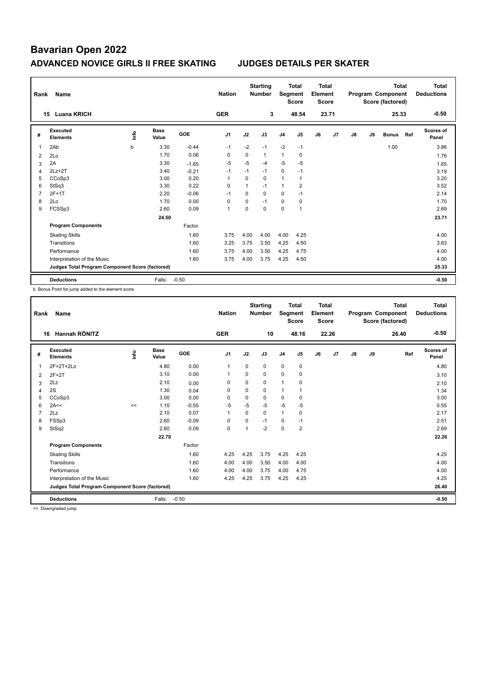| Rank           | Name                                            |    |                      |            | <b>Nation</b>  |          | <b>Starting</b><br><b>Number</b> | Segment        | <b>Total</b><br><b>Score</b> | <b>Total</b><br>Element<br><b>Score</b> |       |    |    | <b>Total</b><br>Program Component<br>Score (factored) |     | <b>Total</b><br><b>Deductions</b> |
|----------------|-------------------------------------------------|----|----------------------|------------|----------------|----------|----------------------------------|----------------|------------------------------|-----------------------------------------|-------|----|----|-------------------------------------------------------|-----|-----------------------------------|
|                | <b>Luana KRICH</b><br>15                        |    |                      |            | <b>GER</b>     |          | 3                                |                | 48.54                        |                                         | 23.71 |    |    | 25.33                                                 |     | $-0.50$                           |
| #              | Executed<br><b>Elements</b>                     | ۴ů | <b>Base</b><br>Value | <b>GOE</b> | J <sub>1</sub> | J2       | J3                               | J <sub>4</sub> | J <sub>5</sub>               | J6                                      | J7    | J8 | J9 | <b>Bonus</b>                                          | Ref | <b>Scores of</b><br>Panel         |
| 1              | 2Ab                                             | b  | 3.30                 | $-0.44$    | $-1$           | $-2$     | $-1$                             | $-2$           | $-1$                         |                                         |       |    |    | 1.00                                                  |     | 3.86                              |
| 2              | 2Lo                                             |    | 1.70                 | 0.06       | 0              | 0        | $\mathbf{1}$                     | 1              | 0                            |                                         |       |    |    |                                                       |     | 1.76                              |
| 3              | 2A                                              |    | 3.30                 | $-1.65$    | $-5$           | $-5$     | -4                               | $-5$           | $-5$                         |                                         |       |    |    |                                                       |     | 1.65                              |
| 4              | $2Lz+2T$                                        |    | 3.40                 | $-0.21$    | $-1$           | $-1$     | $-1$                             | 0              | $-1$                         |                                         |       |    |    |                                                       |     | 3.19                              |
| 5              | CCoSp3                                          |    | 3.00                 | 0.20       | $\overline{1}$ | $\Omega$ | $\Omega$                         | $\mathbf{1}$   | $\overline{1}$               |                                         |       |    |    |                                                       |     | 3.20                              |
| 6              | StSq3                                           |    | 3.30                 | 0.22       | $\Omega$       | 1        | $-1$                             | $\mathbf{1}$   | $\overline{2}$               |                                         |       |    |    |                                                       |     | 3.52                              |
| $\overline{7}$ | 2F+1T                                           |    | 2.20                 | $-0.06$    | $-1$           | $\Omega$ | 0                                | 0              | $-1$                         |                                         |       |    |    |                                                       |     | 2.14                              |
| 8              | 2Lo                                             |    | 1.70                 | 0.00       | 0              | 0        | $-1$                             | 0              | 0                            |                                         |       |    |    |                                                       |     | 1.70                              |
| 9              | FCSSp3                                          |    | 2.60                 | 0.09       | $\overline{1}$ | $\Omega$ | $\Omega$                         | 0              | $\overline{1}$               |                                         |       |    |    |                                                       |     | 2.69                              |
|                |                                                 |    | 24.50                |            |                |          |                                  |                |                              |                                         |       |    |    |                                                       |     | 23.71                             |
|                | <b>Program Components</b>                       |    |                      | Factor     |                |          |                                  |                |                              |                                         |       |    |    |                                                       |     |                                   |
|                | <b>Skating Skills</b>                           |    |                      | 1.60       | 3.75           | 4.00     | 4.00                             | 4.00           | 4.25                         |                                         |       |    |    |                                                       |     | 4.00                              |
|                | Transitions                                     |    |                      | 1.60       | 3.25           | 3.75     | 3.50                             | 4.25           | 4.50                         |                                         |       |    |    |                                                       |     | 3.83                              |
|                | Performance                                     |    |                      | 1.60       | 3.75           | 4.00     | 3.50                             | 4.25           | 4.75                         |                                         |       |    |    |                                                       |     | 4.00                              |
|                | Interpretation of the Music                     |    |                      | 1.60       | 3.75           | 4.00     | 3.75                             | 4.25           | 4.50                         |                                         |       |    |    |                                                       |     | 4.00                              |
|                | Judges Total Program Component Score (factored) |    |                      |            |                |          |                                  |                |                              |                                         |       |    |    |                                                       |     | 25.33                             |
|                | <b>Deductions</b>                               |    | Falls:               | $-0.50$    |                |          |                                  |                |                              |                                         |       |    |    |                                                       |     | $-0.50$                           |

b Bonus Point for jump added to the element score

| Rank           | <b>Name</b>                                     |      |                      |            | <b>Nation</b>  |          | <b>Starting</b><br><b>Number</b> | Segment        | <b>Total</b><br><b>Score</b> | <b>Total</b><br>Element<br><b>Score</b> |                |               |    | Total<br>Program Component<br>Score (factored) | <b>Total</b><br><b>Deductions</b> |
|----------------|-------------------------------------------------|------|----------------------|------------|----------------|----------|----------------------------------|----------------|------------------------------|-----------------------------------------|----------------|---------------|----|------------------------------------------------|-----------------------------------|
|                | Hannah RÖNITZ<br>16                             |      |                      |            | <b>GER</b>     |          | 10                               |                | 48.16                        |                                         | 22.26          |               |    | 26.40                                          | $-0.50$                           |
| #              | Executed<br><b>Elements</b>                     | lnfo | <b>Base</b><br>Value | <b>GOE</b> | J <sub>1</sub> | J2       | J3                               | J <sub>4</sub> | J5                           | J6                                      | J <sub>7</sub> | $\mathsf{J}8$ | J9 | Ref                                            | <b>Scores of</b><br>Panel         |
| $\overline{1}$ | 2F+2T+2Lo                                       |      | 4.80                 | 0.00       | $\mathbf{1}$   | 0        | 0                                | $\mathbf 0$    | $\mathbf 0$                  |                                         |                |               |    |                                                | 4.80                              |
| 2              | $2F+2T$                                         |      | 3.10                 | 0.00       |                | 0        | 0                                | 0              | 0                            |                                         |                |               |    |                                                | 3.10                              |
| 3              | 2Lz                                             |      | 2.10                 | 0.00       | 0              | 0        | 0                                | $\overline{1}$ | 0                            |                                         |                |               |    |                                                | 2.10                              |
| 4              | 2S                                              |      | 1.30                 | 0.04       | $\Omega$       | 0        | $\Omega$                         | $\overline{1}$ | 1                            |                                         |                |               |    |                                                | 1.34                              |
| 5              | CCoSp3                                          |      | 3.00                 | 0.00       | 0              | 0        | 0                                | 0              | 0                            |                                         |                |               |    |                                                | 3.00                              |
| 6              | 2A<<                                            | <<   | 1.10                 | $-0.55$    | -5             | $-5$     | $-5$                             | $-5$           | -5                           |                                         |                |               |    |                                                | 0.55                              |
| 7              | 2Lz                                             |      | 2.10                 | 0.07       | $\overline{1}$ | $\Omega$ | 0                                | $\mathbf{1}$   | 0                            |                                         |                |               |    |                                                | 2.17                              |
| 8              | FSSp3                                           |      | 2.60                 | $-0.09$    | 0              | $\Omega$ | $-1$                             | $\mathbf 0$    | $-1$                         |                                         |                |               |    |                                                | 2.51                              |
| 9              | StSq2                                           |      | 2.60                 | 0.09       | 0              | 1        | $-2$                             | $\mathbf 0$    | $\overline{2}$               |                                         |                |               |    |                                                | 2.69                              |
|                |                                                 |      | 22.70                |            |                |          |                                  |                |                              |                                         |                |               |    |                                                | 22.26                             |
|                | <b>Program Components</b>                       |      |                      | Factor     |                |          |                                  |                |                              |                                         |                |               |    |                                                |                                   |
|                | <b>Skating Skills</b>                           |      |                      | 1.60       | 4.25           | 4.25     | 3.75                             | 4.25           | 4.25                         |                                         |                |               |    |                                                | 4.25                              |
|                | Transitions                                     |      |                      | 1.60       | 4.00           | 4.00     | 3.50                             | 4.00           | 4.00                         |                                         |                |               |    |                                                | 4.00                              |
|                | Performance                                     |      |                      | 1.60       | 4.00           | 4.00     | 3.75                             | 4.00           | 4.75                         |                                         |                |               |    |                                                | 4.00                              |
|                | Interpretation of the Music                     |      |                      | 1.60       | 4.25           | 4.25     | 3.75                             | 4.25           | 4.25                         |                                         |                |               |    |                                                | 4.25                              |
|                | Judges Total Program Component Score (factored) |      |                      |            |                |          |                                  |                |                              |                                         |                |               |    |                                                | 26.40                             |
|                | <b>Deductions</b>                               |      | Falls:               | $-0.50$    |                |          |                                  |                |                              |                                         |                |               |    |                                                | $-0.50$                           |

<< Downgraded jump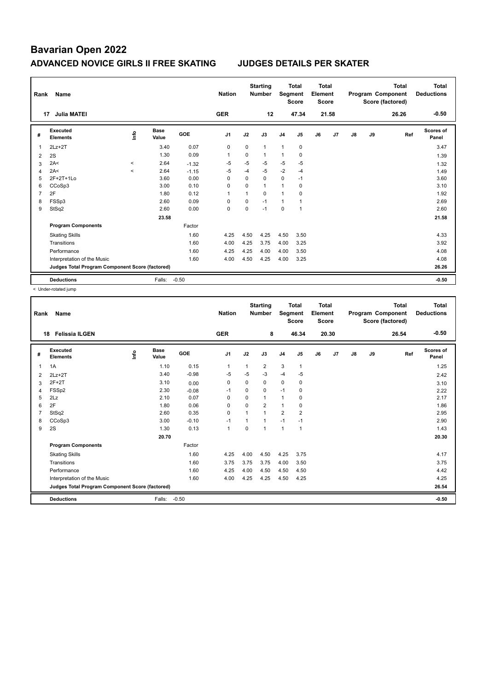| Rank | Name                                            |           |                      |            | <b>Nation</b>  |              | <b>Starting</b><br><b>Number</b> | Segment        | <b>Total</b><br><b>Score</b> | <b>Total</b><br>Element<br>Score |       |               |    | <b>Total</b><br>Program Component<br>Score (factored) | Total<br><b>Deductions</b> |
|------|-------------------------------------------------|-----------|----------------------|------------|----------------|--------------|----------------------------------|----------------|------------------------------|----------------------------------|-------|---------------|----|-------------------------------------------------------|----------------------------|
| 17   | <b>Julia MATEI</b>                              |           |                      |            | <b>GER</b>     |              | 12                               |                | 47.34                        |                                  | 21.58 |               |    | 26.26                                                 | $-0.50$                    |
| #    | <b>Executed</b><br><b>Elements</b>              | Info      | <b>Base</b><br>Value | <b>GOE</b> | J <sub>1</sub> | J2           | J3                               | J <sub>4</sub> | J <sub>5</sub>               | J6                               | J7    | $\mathsf{J}8$ | J9 | Ref                                                   | <b>Scores of</b><br>Panel  |
| 1    | $2Lz+2T$                                        |           | 3.40                 | 0.07       | 0              | $\mathbf 0$  | $\mathbf{1}$                     | $\mathbf{1}$   | $\pmb{0}$                    |                                  |       |               |    |                                                       | 3.47                       |
| 2    | 2S                                              |           | 1.30                 | 0.09       | $\overline{1}$ | $\Omega$     | $\mathbf{1}$                     | $\mathbf{1}$   | $\pmb{0}$                    |                                  |       |               |    |                                                       | 1.39                       |
| 3    | 2A<                                             | $\hat{~}$ | 2.64                 | $-1.32$    | $-5$           | $-5$         | $-5$                             | $-5$           | $-5$                         |                                  |       |               |    |                                                       | 1.32                       |
| 4    | 2A<                                             | $\prec$   | 2.64                 | $-1.15$    | $-5$           | $-4$         | $-5$                             | $-2$           | $-4$                         |                                  |       |               |    |                                                       | 1.49                       |
| 5    | 2F+2T+1Lo                                       |           | 3.60                 | 0.00       | $\Omega$       | $\Omega$     | $\Omega$                         | 0              | $-1$                         |                                  |       |               |    |                                                       | 3.60                       |
| 6    | CCoSp3                                          |           | 3.00                 | 0.10       | 0              | $\mathbf 0$  | $\mathbf{1}$                     | $\mathbf{1}$   | 0                            |                                  |       |               |    |                                                       | 3.10                       |
| 7    | 2F                                              |           | 1.80                 | 0.12       | $\overline{1}$ | $\mathbf{1}$ | 0                                | $\mathbf{1}$   | 0                            |                                  |       |               |    |                                                       | 1.92                       |
| 8    | FSSp3                                           |           | 2.60                 | 0.09       | $\Omega$       | $\mathbf 0$  | $-1$                             | $\mathbf{1}$   |                              |                                  |       |               |    |                                                       | 2.69                       |
| 9    | StSq2                                           |           | 2.60                 | 0.00       | 0              | 0            | $-1$                             | 0              | $\overline{1}$               |                                  |       |               |    |                                                       | 2.60                       |
|      |                                                 |           | 23.58                |            |                |              |                                  |                |                              |                                  |       |               |    |                                                       | 21.58                      |
|      | <b>Program Components</b>                       |           |                      | Factor     |                |              |                                  |                |                              |                                  |       |               |    |                                                       |                            |
|      | <b>Skating Skills</b>                           |           |                      | 1.60       | 4.25           | 4.50         | 4.25                             | 4.50           | 3.50                         |                                  |       |               |    |                                                       | 4.33                       |
|      | Transitions                                     |           |                      | 1.60       | 4.00           | 4.25         | 3.75                             | 4.00           | 3.25                         |                                  |       |               |    |                                                       | 3.92                       |
|      | Performance                                     |           |                      | 1.60       | 4.25           | 4.25         | 4.00                             | 4.00           | 3.50                         |                                  |       |               |    |                                                       | 4.08                       |
|      | Interpretation of the Music                     |           |                      | 1.60       | 4.00           | 4.50         | 4.25                             | 4.00           | 3.25                         |                                  |       |               |    |                                                       | 4.08                       |
|      | Judges Total Program Component Score (factored) |           |                      |            |                |              |                                  |                |                              |                                  |       |               |    |                                                       | 26.26                      |
|      | <b>Deductions</b>                               |           | Falls:               | $-0.50$    |                |              |                                  |                |                              |                                  |       |               |    |                                                       | $-0.50$                    |

< Under-rotated jump

| Rank | <b>Name</b>                                     |      |                      |         | <b>Nation</b>  |                | <b>Starting</b><br><b>Number</b> | Segment        | <b>Total</b><br><b>Score</b> | <b>Total</b><br>Element<br><b>Score</b> |       |    |    | <b>Total</b><br>Program Component<br>Score (factored) | <b>Total</b><br><b>Deductions</b> |
|------|-------------------------------------------------|------|----------------------|---------|----------------|----------------|----------------------------------|----------------|------------------------------|-----------------------------------------|-------|----|----|-------------------------------------------------------|-----------------------------------|
|      | <b>Felissia ILGEN</b><br>18                     |      |                      |         | <b>GER</b>     |                | 8                                |                | 46.34                        |                                         | 20.30 |    |    | 26.54                                                 | $-0.50$                           |
| #    | Executed<br><b>Elements</b>                     | Info | <b>Base</b><br>Value | GOE     | J <sub>1</sub> | J2             | J3                               | J <sub>4</sub> | J <sub>5</sub>               | J6                                      | J7    | J8 | J9 | Ref                                                   | <b>Scores of</b><br>Panel         |
| 1    | 1A                                              |      | 1.10                 | 0.15    | $\mathbf 1$    | 1              | 2                                | 3              | $\mathbf{1}$                 |                                         |       |    |    |                                                       | 1.25                              |
| 2    | $2Lz+2T$                                        |      | 3.40                 | $-0.98$ | $-5$           | -5             | $-3$                             | $-4$           | -5                           |                                         |       |    |    |                                                       | 2.42                              |
| 3    | $2F+2T$                                         |      | 3.10                 | 0.00    | 0              | $\mathbf 0$    | 0                                | $\mathbf 0$    | 0                            |                                         |       |    |    |                                                       | 3.10                              |
| 4    | FSSp2                                           |      | 2.30                 | $-0.08$ | $-1$           | $\Omega$       | $\Omega$                         | $-1$           | $\mathbf 0$                  |                                         |       |    |    |                                                       | 2.22                              |
| 5    | 2Lz                                             |      | 2.10                 | 0.07    | 0              | 0              | 1                                | 1              | $\mathbf 0$                  |                                         |       |    |    |                                                       | 2.17                              |
| 6    | 2F                                              |      | 1.80                 | 0.06    | 0              | $\Omega$       | $\overline{2}$                   | $\mathbf{1}$   | 0                            |                                         |       |    |    |                                                       | 1.86                              |
|      | StSq2                                           |      | 2.60                 | 0.35    | 0              | $\overline{1}$ | $\overline{1}$                   | $\overline{2}$ | $\overline{2}$               |                                         |       |    |    |                                                       | 2.95                              |
| 8    | CCoSp3                                          |      | 3.00                 | $-0.10$ | $-1$           |                | 1                                | $-1$           | $-1$                         |                                         |       |    |    |                                                       | 2.90                              |
| 9    | 2S                                              |      | 1.30                 | 0.13    | $\mathbf{1}$   | 0              | 1                                | $\mathbf{1}$   | $\mathbf{1}$                 |                                         |       |    |    |                                                       | 1.43                              |
|      |                                                 |      | 20.70                |         |                |                |                                  |                |                              |                                         |       |    |    |                                                       | 20.30                             |
|      | <b>Program Components</b>                       |      |                      | Factor  |                |                |                                  |                |                              |                                         |       |    |    |                                                       |                                   |
|      | <b>Skating Skills</b>                           |      |                      | 1.60    | 4.25           | 4.00           | 4.50                             | 4.25           | 3.75                         |                                         |       |    |    |                                                       | 4.17                              |
|      | Transitions                                     |      |                      | 1.60    | 3.75           | 3.75           | 3.75                             | 4.00           | 3.50                         |                                         |       |    |    |                                                       | 3.75                              |
|      | Performance                                     |      |                      | 1.60    | 4.25           | 4.00           | 4.50                             | 4.50           | 4.50                         |                                         |       |    |    |                                                       | 4.42                              |
|      | Interpretation of the Music                     |      |                      | 1.60    | 4.00           | 4.25           | 4.25                             | 4.50           | 4.25                         |                                         |       |    |    |                                                       | 4.25                              |
|      | Judges Total Program Component Score (factored) |      |                      |         |                |                |                                  |                |                              |                                         |       |    |    |                                                       | 26.54                             |
|      | <b>Deductions</b>                               |      | Falls:               | $-0.50$ |                |                |                                  |                |                              |                                         |       |    |    |                                                       | $-0.50$                           |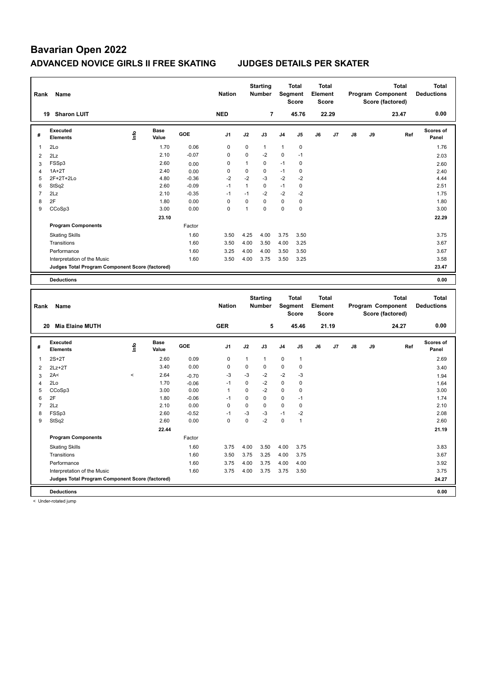| Rank           | Name                                                                           |       |                      |                 | <b>Nation</b>        |                          | <b>Starting</b><br><b>Number</b> |                  | <b>Total</b><br>Segment<br><b>Score</b> | <b>Total</b><br>Element<br><b>Score</b> |       |    |    | Program Component<br>Score (factored) | <b>Total</b> | <b>Total</b><br><b>Deductions</b> |
|----------------|--------------------------------------------------------------------------------|-------|----------------------|-----------------|----------------------|--------------------------|----------------------------------|------------------|-----------------------------------------|-----------------------------------------|-------|----|----|---------------------------------------|--------------|-----------------------------------|
|                | 19 Sharon LUIT                                                                 |       |                      |                 | <b>NED</b>           |                          | $\overline{7}$                   |                  | 45.76                                   |                                         | 22.29 |    |    | 23.47                                 |              | 0.00                              |
| #              | Executed<br><b>Elements</b>                                                    | ۴     | <b>Base</b><br>Value | GOE             | J <sub>1</sub>       | J2                       | J3                               | J4               | J5                                      | J6                                      | J7    | J8 | J9 |                                       | Ref          | Scores of<br>Panel                |
| 1              | 2Lo                                                                            |       | 1.70                 | 0.06            | $\mathbf 0$          | 0                        | $\mathbf{1}$                     | $\mathbf{1}$     | $\mathbf 0$                             |                                         |       |    |    |                                       |              | 1.76                              |
| $\overline{2}$ | 2Lz                                                                            |       | 2.10                 | $-0.07$         | 0                    | 0                        | $-2$                             | 0                | $-1$                                    |                                         |       |    |    |                                       |              | 2.03                              |
| 3              | FSSp3                                                                          |       | 2.60                 | 0.00            | 0                    | $\mathbf{1}$             | $\mathbf 0$                      | $-1$             | $\mathbf 0$                             |                                         |       |    |    |                                       |              | 2.60                              |
| $\overline{4}$ | $1A+2T$                                                                        |       | 2.40                 | 0.00            | $\mathbf 0$          | 0                        | $\mathbf 0$                      | $-1$             | $\pmb{0}$                               |                                         |       |    |    |                                       |              | 2.40                              |
| 5              | 2F+2T+2Lo                                                                      |       | 4.80                 | $-0.36$         | $-2$                 | $-2$                     | $-3$                             | $-2$             | $-2$                                    |                                         |       |    |    |                                       |              | 4.44                              |
| 6              | StSq2                                                                          |       | 2.60                 | $-0.09$         | $-1$                 | $\mathbf{1}$             | $\mathbf 0$                      | $-1$             | $\pmb{0}$                               |                                         |       |    |    |                                       |              | 2.51                              |
| $\overline{7}$ | 2Lz                                                                            |       | 2.10                 | $-0.35$         | $-1$                 | $-1$                     | $-2$                             | $-2$             | $-2$                                    |                                         |       |    |    |                                       |              | 1.75                              |
| 8              | 2F                                                                             |       | 1.80                 | 0.00            | $\Omega$             | 0                        | $\mathbf 0$                      | $\mathbf 0$      | $\mathbf 0$                             |                                         |       |    |    |                                       |              | 1.80                              |
| 9              | CCoSp3                                                                         |       | 3.00                 | 0.00            | 0                    | $\overline{1}$           | $\mathbf 0$                      | $\mathbf 0$      | $\mathbf 0$                             |                                         |       |    |    |                                       |              | 3.00                              |
|                |                                                                                |       | 23.10                |                 |                      |                          |                                  |                  |                                         |                                         |       |    |    |                                       |              | 22.29                             |
|                | <b>Program Components</b>                                                      |       |                      | Factor          |                      |                          |                                  |                  |                                         |                                         |       |    |    |                                       |              |                                   |
|                | <b>Skating Skills</b>                                                          |       |                      | 1.60            | 3.50                 | 4.25                     | 4.00                             | 3.75             | 3.50                                    |                                         |       |    |    |                                       |              | 3.75                              |
|                | Transitions                                                                    |       |                      | 1.60            | 3.50                 | 4.00                     | 3.50                             | 4.00             | 3.25                                    |                                         |       |    |    |                                       |              | 3.67                              |
|                | Performance                                                                    |       |                      | 1.60            | 3.25                 | 4.00                     | 4.00                             | 3.50             | 3.50                                    |                                         |       |    |    |                                       |              | 3.67                              |
|                | Interpretation of the Music                                                    |       |                      | 1.60            | 3.50                 | 4.00                     | 3.75                             | 3.50             | 3.25                                    |                                         |       |    |    |                                       |              | 3.58                              |
|                | Judges Total Program Component Score (factored)                                |       |                      |                 |                      |                          |                                  |                  |                                         |                                         |       |    |    |                                       |              | 23.47                             |
|                |                                                                                |       |                      |                 |                      |                          |                                  |                  |                                         |                                         |       |    |    |                                       |              |                                   |
|                | <b>Deductions</b>                                                              |       |                      |                 |                      |                          |                                  |                  |                                         |                                         |       |    |    |                                       |              | 0.00                              |
|                |                                                                                |       |                      |                 |                      |                          |                                  |                  |                                         |                                         |       |    |    |                                       |              |                                   |
|                |                                                                                |       |                      |                 |                      |                          | <b>Starting</b>                  |                  | <b>Total</b>                            | <b>Total</b>                            |       |    |    |                                       | <b>Total</b> | <b>Total</b>                      |
| Rank           | <b>Name</b>                                                                    |       |                      |                 | <b>Nation</b>        |                          | Number                           |                  | Segment<br><b>Score</b>                 | Element<br><b>Score</b>                 |       |    |    | Program Component<br>Score (factored) |              | <b>Deductions</b>                 |
|                | 20 Mia Elaine MUTH                                                             |       |                      |                 | <b>GER</b>           |                          | 5                                |                  | 45.46                                   |                                         | 21.19 |    |    | 24.27                                 |              | 0.00                              |
| #              | <b>Executed</b><br><b>Elements</b>                                             | ۴ů    | <b>Base</b><br>Value | GOE             | J1                   | J2                       | J3                               | J4               | J5                                      | J6                                      | J7    | J8 | J9 |                                       | Ref          | Scores of<br>Panel                |
|                |                                                                                |       |                      |                 |                      |                          |                                  |                  |                                         |                                         |       |    |    |                                       |              |                                   |
| 1              | $2S+2T$                                                                        |       | 2.60                 | 0.09            | $\mathbf 0$          | $\mathbf{1}$             | $\mathbf{1}$                     | 0                | $\mathbf{1}$                            |                                         |       |    |    |                                       |              | 2.69                              |
| $\overline{2}$ | $2Lz+2T$                                                                       |       | 3.40                 | 0.00            | 0                    | 0                        | $\mathbf 0$                      | 0                | 0                                       |                                         |       |    |    |                                       |              | 3.40                              |
| 3              | 2A<                                                                            | $\,<$ | 2.64                 | $-0.70$         | $-3$                 | $-3$                     | $-2$                             | $-2$             | $-3$                                    |                                         |       |    |    |                                       |              | 1.94                              |
| 4<br>5         | 2Lo                                                                            |       | 1.70<br>3.00         | $-0.06$<br>0.00 | $-1$<br>$\mathbf{1}$ | $\pmb{0}$<br>$\mathbf 0$ | $-2$<br>$-2$                     | $\mathbf 0$<br>0 | $\pmb{0}$<br>$\pmb{0}$                  |                                         |       |    |    |                                       |              | 1.64                              |
| 6              | CCoSp3<br>2F                                                                   |       | 1.80                 | $-0.06$         | $-1$                 | 0                        | $\mathbf 0$                      | $\mathbf 0$      | $-1$                                    |                                         |       |    |    |                                       |              | 3.00<br>1.74                      |
| $\overline{7}$ | 2Lz                                                                            |       | 2.10                 | 0.00            | $\mathbf 0$          | $\pmb{0}$                | $\mathbf 0$                      | $\mathbf 0$      | $\pmb{0}$                               |                                         |       |    |    |                                       |              | 2.10                              |
| 8              | FSSp3                                                                          |       | 2.60                 | $-0.52$         | $-1$                 | $-3$                     | $-3$                             | $-1$             | $-2$                                    |                                         |       |    |    |                                       |              | 2.08                              |
| 9              | StSq2                                                                          |       | 2.60                 | 0.00            | $\Omega$             | $\mathbf 0$              | $-2$                             | $\mathbf 0$      | $\mathbf{1}$                            |                                         |       |    |    |                                       |              | 2.60                              |
|                |                                                                                |       | 22.44                |                 |                      |                          |                                  |                  |                                         |                                         |       |    |    |                                       |              | 21.19                             |
|                | <b>Program Components</b>                                                      |       |                      | Factor          |                      |                          |                                  |                  |                                         |                                         |       |    |    |                                       |              |                                   |
|                |                                                                                |       |                      |                 |                      |                          |                                  |                  |                                         |                                         |       |    |    |                                       |              |                                   |
|                | <b>Skating Skills</b>                                                          |       |                      | 1.60            | 3.75                 | 4.00                     | 3.50                             | 4.00             | 3.75                                    |                                         |       |    |    |                                       |              | 3.83                              |
|                | Transitions                                                                    |       |                      | 1.60            | 3.50                 | 3.75                     | 3.25                             | 4.00             | 3.75                                    |                                         |       |    |    |                                       |              | 3.67                              |
|                | Performance                                                                    |       |                      | 1.60            | 3.75                 | 4.00                     | 3.75                             | 4.00             | 4.00                                    |                                         |       |    |    |                                       |              | 3.92                              |
|                | Interpretation of the Music<br>Judges Total Program Component Score (factored) |       |                      | 1.60            | 3.75                 | 4.00                     | 3.75                             | 3.75             | 3.50                                    |                                         |       |    |    |                                       |              | 3.75<br>24.27                     |

< Under-rotated jump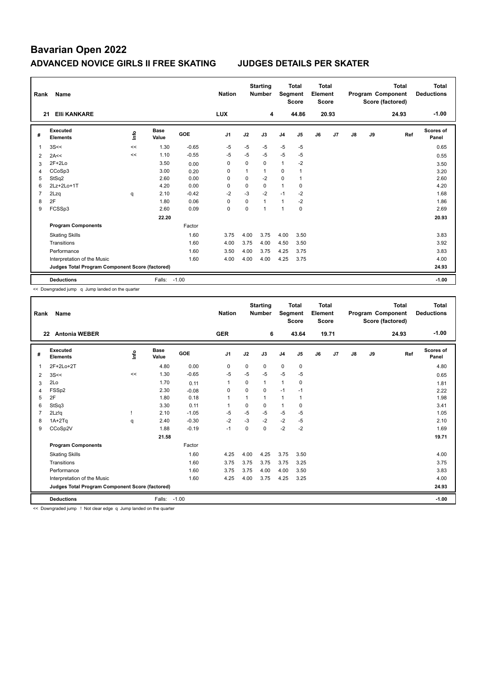| Rank           | Name                                            |    |                      |            | <b>Nation</b>  |             | <b>Starting</b><br><b>Number</b> | Segment        | <b>Total</b><br><b>Score</b> | <b>Total</b><br>Element<br><b>Score</b> |       |               |    | <b>Total</b><br>Program Component<br>Score (factored) | Total<br><b>Deductions</b> |
|----------------|-------------------------------------------------|----|----------------------|------------|----------------|-------------|----------------------------------|----------------|------------------------------|-----------------------------------------|-------|---------------|----|-------------------------------------------------------|----------------------------|
| 21             | <b>EIII KANKARE</b>                             |    |                      |            | <b>LUX</b>     |             | 4                                |                | 44.86                        |                                         | 20.93 |               |    | 24.93                                                 | $-1.00$                    |
| #              | Executed<br><b>Elements</b>                     | ۴  | <b>Base</b><br>Value | <b>GOE</b> | J <sub>1</sub> | J2          | J3                               | J <sub>4</sub> | J5                           | J6                                      | J7    | $\mathsf{J}8$ | J9 | Ref                                                   | <b>Scores of</b><br>Panel  |
| 1              | 3S<<                                            | << | 1.30                 | $-0.65$    | $-5$           | $-5$        | $-5$                             | $-5$           | $-5$                         |                                         |       |               |    |                                                       | 0.65                       |
| 2              | 2A<<                                            | << | 1.10                 | $-0.55$    | $-5$           | -5          | $-5$                             | $-5$           | $-5$                         |                                         |       |               |    |                                                       | 0.55                       |
| 3              | $2F+2Lo$                                        |    | 3.50                 | 0.00       | $\Omega$       | $\Omega$    | $\Omega$                         | $\mathbf{1}$   | $-2$                         |                                         |       |               |    |                                                       | 3.50                       |
| 4              | CCoSp3                                          |    | 3.00                 | 0.20       | $\Omega$       | 1           | $\mathbf{1}$                     | 0              |                              |                                         |       |               |    |                                                       | 3.20                       |
| 5              | StSq2                                           |    | 2.60                 | 0.00       | $\Omega$       | $\Omega$    | $-2$                             | 0              |                              |                                         |       |               |    |                                                       | 2.60                       |
| 6              | 2Lz+2Lo+1T                                      |    | 4.20                 | 0.00       | 0              | $\mathbf 0$ | $\mathbf 0$                      | $\mathbf{1}$   | $\mathbf 0$                  |                                         |       |               |    |                                                       | 4.20                       |
| $\overline{7}$ | 2Lzq                                            | q  | 2.10                 | $-0.42$    | $-2$           | $-3$        | $-2$                             | $-1$           | $-2$                         |                                         |       |               |    |                                                       | 1.68                       |
| 8              | 2F                                              |    | 1.80                 | 0.06       | $\Omega$       | $\mathbf 0$ | $\mathbf{1}$                     | $\mathbf{1}$   | $-2$                         |                                         |       |               |    |                                                       | 1.86                       |
| 9              | FCSSp3                                          |    | 2.60                 | 0.09       | 0              | $\Omega$    | $\overline{ }$                   | $\mathbf{1}$   | 0                            |                                         |       |               |    |                                                       | 2.69                       |
|                |                                                 |    | 22.20                |            |                |             |                                  |                |                              |                                         |       |               |    |                                                       | 20.93                      |
|                | <b>Program Components</b>                       |    |                      | Factor     |                |             |                                  |                |                              |                                         |       |               |    |                                                       |                            |
|                | <b>Skating Skills</b>                           |    |                      | 1.60       | 3.75           | 4.00        | 3.75                             | 4.00           | 3.50                         |                                         |       |               |    |                                                       | 3.83                       |
|                | Transitions                                     |    |                      | 1.60       | 4.00           | 3.75        | 4.00                             | 4.50           | 3.50                         |                                         |       |               |    |                                                       | 3.92                       |
|                | Performance                                     |    |                      | 1.60       | 3.50           | 4.00        | 3.75                             | 4.25           | 3.75                         |                                         |       |               |    |                                                       | 3.83                       |
|                | Interpretation of the Music                     |    |                      | 1.60       | 4.00           | 4.00        | 4.00                             | 4.25           | 3.75                         |                                         |       |               |    |                                                       | 4.00                       |
|                | Judges Total Program Component Score (factored) |    |                      |            |                |             |                                  |                |                              |                                         |       |               |    |                                                       | 24.93                      |
|                | <b>Deductions</b>                               |    | Falls:               | $-1.00$    |                |             |                                  |                |                              |                                         |       |               |    |                                                       | $-1.00$                    |

<< Downgraded jump q Jump landed on the quarter

| Rank           | Name                                            |      |                      |         | <b>Nation</b>  |             | <b>Starting</b><br><b>Number</b> | Segment        | <b>Total</b><br><b>Score</b> | Total<br>Element<br><b>Score</b> |       |    |    | <b>Total</b><br>Program Component<br>Score (factored) | <b>Total</b><br><b>Deductions</b> |
|----------------|-------------------------------------------------|------|----------------------|---------|----------------|-------------|----------------------------------|----------------|------------------------------|----------------------------------|-------|----|----|-------------------------------------------------------|-----------------------------------|
| 22             | <b>Antonia WEBER</b>                            |      |                      |         | <b>GER</b>     |             | 6                                |                | 43.64                        |                                  | 19.71 |    |    | 24.93                                                 | $-1.00$                           |
| #              | Executed<br><b>Elements</b>                     | Info | <b>Base</b><br>Value | GOE     | J <sub>1</sub> | J2          | J3                               | J <sub>4</sub> | J <sub>5</sub>               | J6                               | J7    | J8 | J9 | Ref                                                   | <b>Scores of</b><br>Panel         |
| $\mathbf{1}$   | 2F+2Lo+2T                                       |      | 4.80                 | 0.00    | 0              | $\mathbf 0$ | 0                                | $\mathbf 0$    | $\mathbf 0$                  |                                  |       |    |    |                                                       | 4.80                              |
| 2              | 3S<<                                            | <<   | 1.30                 | $-0.65$ | $-5$           | $-5$        | $-5$                             | $-5$           | $-5$                         |                                  |       |    |    |                                                       | 0.65                              |
| 3              | 2Lo                                             |      | 1.70                 | 0.11    | -1             | 0           | 1                                | 1              | 0                            |                                  |       |    |    |                                                       | 1.81                              |
| 4              | FSSp2                                           |      | 2.30                 | $-0.08$ | $\Omega$       | $\Omega$    | $\Omega$                         | $-1$           | $-1$                         |                                  |       |    |    |                                                       | 2.22                              |
| 5              | 2F                                              |      | 1.80                 | 0.18    | $\overline{1}$ |             | $\mathbf{1}$                     | $\mathbf{1}$   | $\overline{1}$               |                                  |       |    |    |                                                       | 1.98                              |
| 6              | StSq3                                           |      | 3.30                 | 0.11    | -1             | $\Omega$    | $\Omega$                         | $\mathbf{1}$   | $\mathbf 0$                  |                                  |       |    |    |                                                       | 3.41                              |
| $\overline{7}$ | 2Lz!q                                           |      | 2.10                 | $-1.05$ | $-5$           | $-5$        | $-5$                             | $-5$           | $-5$                         |                                  |       |    |    |                                                       | 1.05                              |
| 8              | $1A+2Tq$                                        | q    | 2.40                 | $-0.30$ | $-2$           | $-3$        | $-2$                             | $-2$           | $-5$                         |                                  |       |    |    |                                                       | 2.10                              |
| 9              | CCoSp2V                                         |      | 1.88                 | $-0.19$ | $-1$           | 0           | $\Omega$                         | $-2$           | $-2$                         |                                  |       |    |    |                                                       | 1.69                              |
|                |                                                 |      | 21.58                |         |                |             |                                  |                |                              |                                  |       |    |    |                                                       | 19.71                             |
|                | <b>Program Components</b>                       |      |                      | Factor  |                |             |                                  |                |                              |                                  |       |    |    |                                                       |                                   |
|                | <b>Skating Skills</b>                           |      |                      | 1.60    | 4.25           | 4.00        | 4.25                             | 3.75           | 3.50                         |                                  |       |    |    |                                                       | 4.00                              |
|                | Transitions                                     |      |                      | 1.60    | 3.75           | 3.75        | 3.75                             | 3.75           | 3.25                         |                                  |       |    |    |                                                       | 3.75                              |
|                | Performance                                     |      |                      | 1.60    | 3.75           | 3.75        | 4.00                             | 4.00           | 3.50                         |                                  |       |    |    |                                                       | 3.83                              |
|                | Interpretation of the Music                     |      |                      | 1.60    | 4.25           | 4.00        | 3.75                             | 4.25           | 3.25                         |                                  |       |    |    |                                                       | 4.00                              |
|                | Judges Total Program Component Score (factored) |      |                      |         |                |             |                                  |                |                              |                                  |       |    |    |                                                       | 24.93                             |
|                | <b>Deductions</b>                               |      | Falls:               | $-1.00$ |                |             |                                  |                |                              |                                  |       |    |    |                                                       | $-1.00$                           |

<< Downgraded jump ! Not clear edge q Jump landed on the quarter